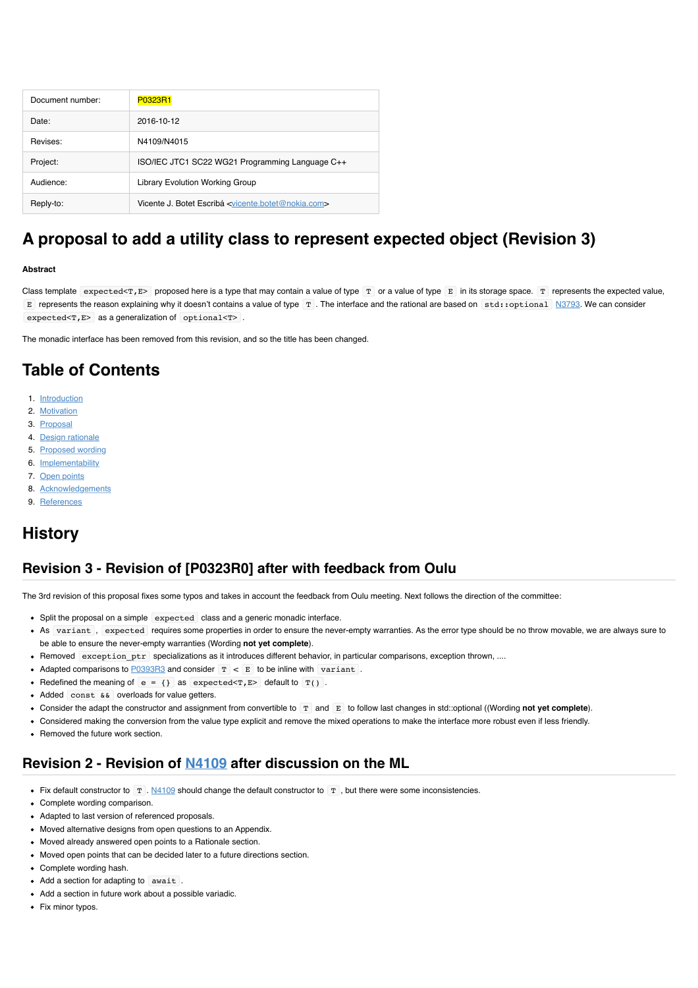| Document number: | P0323R1                                                                      |  |
|------------------|------------------------------------------------------------------------------|--|
| Date:            | 2016-10-12                                                                   |  |
| Revises:         | N4109/N4015                                                                  |  |
| Project:         | ISO/IEC JTC1 SC22 WG21 Programming Language C++                              |  |
| Audience:        | Library Evolution Working Group                                              |  |
| Reply-to:        | Vicente J. Botet Escribá <vicente.botet@nokia.com></vicente.botet@nokia.com> |  |

# **A proposal to add a utility class to represent expected object (Revision 3)**

#### **Abstract**

Class template expected<T,E> proposed here is a type that may contain a value of type  $T$  or a value of type  $E$  in its storage space.  $T$  represents the expected value, E represents the reason explaining why it doesn't contains a value of type  $T$ . The interface and the rational are based on std::optional [N3793.](http://www.open-std.org/jtc1/sc22/wg21/docs/papers/2013/n3793.html) We can consider expected<T, E> as a generalization of optional<T>.

The monadic interface has been removed from this revision, and so the title has been changed.

# **Table of Contents**

- 1. [Introduction](file:///Users/viboes/github/std_make/doc/proposal/expected/p0323r1.md#introduction)
- 2. [Motivation](file:///Users/viboes/github/std_make/doc/proposal/expected/p0323r1.md#motivation)
- 3. [Proposal](file:///Users/viboes/github/std_make/doc/proposal/expected/p0323r1.md#proposal)
- 4. [Design rationale](file:///Users/viboes/github/std_make/doc/proposal/expected/p0323r1.md#design-rationale)
- 5. [Proposed wording](file:///Users/viboes/github/std_make/doc/proposal/expected/p0323r1.md#proposed-wording)
- 6. [Implementability](file:///Users/viboes/github/std_make/doc/proposal/expected/p0323r1.md#implementability)
- 7. [Open points](file:///Users/viboes/github/std_make/doc/proposal/expected/p0323r1.md#open-points)
- 8. [Acknowledgements](file:///Users/viboes/github/std_make/doc/proposal/expected/p0323r1.md#acknowledgements)
- 9. [References](file:///Users/viboes/github/std_make/doc/proposal/expected/p0323r1.md#references)

# **History**

### **Revision 3 - Revision of [P0323R0] after with feedback from Oulu**

The 3rd revision of this proposal fixes some typos and takes in account the feedback from Oulu meeting. Next follows the direction of the committee:

- Split the proposal on a simple expected class and a generic monadic interface.
- As variant , expected requires some properties in order to ensure the never-empty warranties. As the error type should be no throw movable, we are always sure to be able to ensure the never-empty warranties (Wording **not yet complete**).
- Removed exception ptr specializations as it introduces different behavior, in particular comparisons, exception thrown, ....
- Adapted comparisons to [P0393R3](http://www.open-std.org/jtc1/sc22/wg21/docs/papers/2016/p0393r3.html) and consider  $T < E$  to be inline with variant.
- Redefined the meaning of  $e = \{\}$  as  $expected < \tau, E$  default to  $T()$ .
- Added const && overloads for value getters.
- Consider the adapt the constructor and assignment from convertible to T and E to follow last changes in std::optional ((Wording **not yet complete**).
- Considered making the conversion from the value type explicit and remove the mixed operations to make the interface more robust even if less friendly.
- Removed the future work section.

### **Revision 2 - Revision of [N4109](http://www.open-std.org/jtc1/sc22/wg21/docs/papers/2014/n4109.pdf) after discussion on the ML**

- Fix default constructor to  $T$  . [N4109](http://www.open-std.org/jtc1/sc22/wg21/docs/papers/2014/n4109.pdf) should change the default constructor to  $T$  , but there were some inconsistencies.
- Complete wording comparison.
- Adapted to last version of referenced proposals.
- Moved alternative designs from open questions to an Appendix.
- Moved already answered open points to a Rationale section.
- Moved open points that can be decided later to a future directions section.
- Complete wording hash.
- Add a section for adapting to await.
- Add a section in future work about a possible variadic.
- Fix minor typos.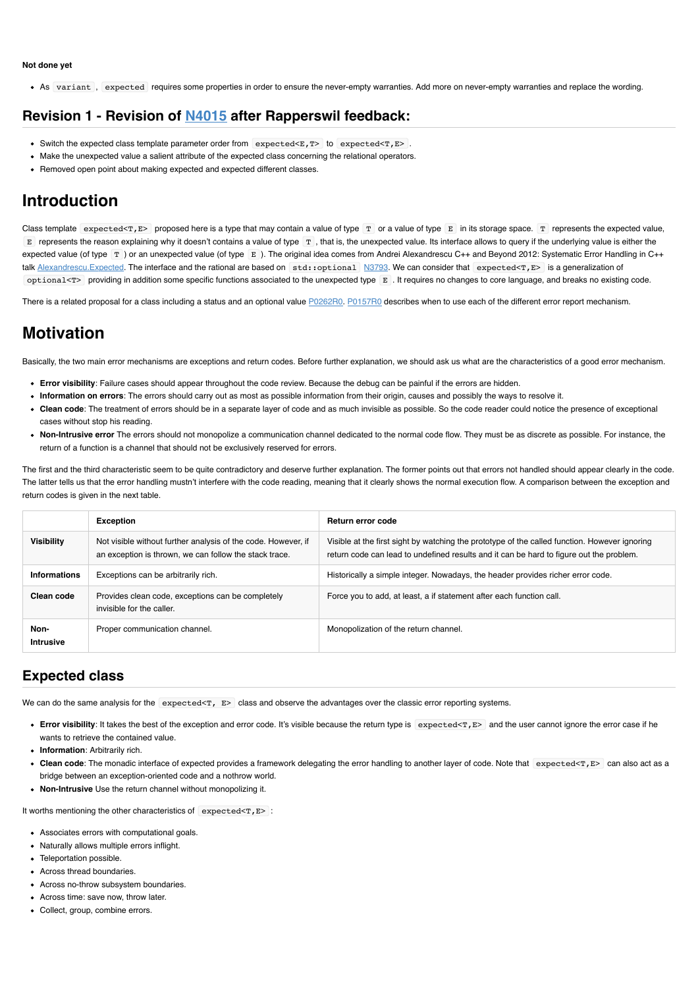#### **Not done yet**

As variant , expected requires some properties in order to ensure the never-empty warranties. Add more on never-empty warranties and replace the wording.

# **Revision 1 - Revision of [N4015](http://www.open-std.org/jtc1/sc22/wg21/docs/papers/2014/n4015.pdf) after Rapperswil feedback:**

- Switch the expected class template parameter order from expected<E,T> to expected<T,E>.
- Make the unexpected value a salient attribute of the expected class concerning the relational operators.
- Removed open point about making expected and expected different classes.

# **Introduction**

Class template expected<T,E> proposed here is a type that may contain a value of type  $T$  or a value of type  $E$  in its storage space.  $T$  represents the expected value,  $E$  represents the reason explaining why it doesn't contains a value of type  $T$ , that is, the unexpected value. Its interface allows to query if the underlying value is either the expected value (of type  $\boxed{r}$ ) or an unexpected value (of type  $\boxed{E}$ ). The original idea comes from Andrei Alexandrescu C++ and Beyond 2012: Systematic Error Handling in C++ talk Alexandrescu. Expected. The interface and the rational are based on std::optional [N3793.](http://www.open-std.org/jtc1/sc22/wg21/docs/papers/2013/n3793.html) We can consider that expected<T, E> is a generalization of optional<T> providing in addition some specific functions associated to the unexpected type E . It requires no changes to core language, and breaks no existing code.

There is a related proposal for a class including a status and an optional value [P0262R0](http://www.open-std.org/jtc1/sc22/wg21/docs/papers/2016/p0262r0.html). [P0157R0](http://www.open-std.org/jtc1/sc22/wg21/docs/papers/2015/p0157r0.html) describes when to use each of the different error report mechanism.

# **Motivation**

Basically, the two main error mechanisms are exceptions and return codes. Before further explanation, we should ask us what are the characteristics of a good error mechanism.

- **Error visibility**: Failure cases should appear throughout the code review. Because the debug can be painful if the errors are hidden.
- **Information on errors**: The errors should carry out as most as possible information from their origin, causes and possibly the ways to resolve it.
- **Clean code**: The treatment of errors should be in a separate layer of code and as much invisible as possible. So the code reader could notice the presence of exceptional cases without stop his reading.
- **Non-Intrusive error** The errors should not monopolize a communication channel dedicated to the normal code flow. They must be as discrete as possible. For instance, the return of a function is a channel that should not be exclusively reserved for errors.

The first and the third characteristic seem to be quite contradictory and deserve further explanation. The former points out that errors not handled should appear clearly in the code. The latter tells us that the error handling mustn't interfere with the code reading, meaning that it clearly shows the normal execution flow. A comparison between the exception and return codes is given in the next table.

|                          | <b>Exception</b>                                                                                                        | Return error code                                                                                                                                                                        |  |
|--------------------------|-------------------------------------------------------------------------------------------------------------------------|------------------------------------------------------------------------------------------------------------------------------------------------------------------------------------------|--|
| <b>Visibility</b>        | Not visible without further analysis of the code. However, if<br>an exception is thrown, we can follow the stack trace. | Visible at the first sight by watching the prototype of the called function. However ignoring<br>return code can lead to undefined results and it can be hard to figure out the problem. |  |
| <b>Informations</b>      | Exceptions can be arbitrarily rich.                                                                                     | Historically a simple integer. Nowadays, the header provides richer error code.                                                                                                          |  |
| Clean code               | Provides clean code, exceptions can be completely<br>invisible for the caller.                                          | Force you to add, at least, a if statement after each function call.                                                                                                                     |  |
| Non-<br><b>Intrusive</b> | Proper communication channel.                                                                                           | Monopolization of the return channel.                                                                                                                                                    |  |

# **Expected class**

We can do the same analysis for the expected  $\tau$ ,  $E$  class and observe the advantages over the classic error reporting systems.

- Error visibility: It takes the best of the exception and error code. It's visible because the return type is expected<T, E> and the user cannot ignore the error case if he wants to retrieve the contained value.
- **Information**: Arbitrarily rich.
- Clean code: The monadic interface of expected provides a framework delegating the error handling to another layer of code. Note that expected<T, E> can also act as a bridge between an exception-oriented code and a nothrow world.
- **Non-Intrusive** Use the return channel without monopolizing it.

It worths mentioning the other characteristics of  $\exp\left(-\exp(-\exp(-\frac{1}{2}t)\right)$ .

- Associates errors with computational goals.
- Naturally allows multiple errors inflight.
- Teleportation possible.
- Across thread boundaries.
- Across no-throw subsystem boundaries.
- Across time: save now, throw later.
- Collect, group, combine errors.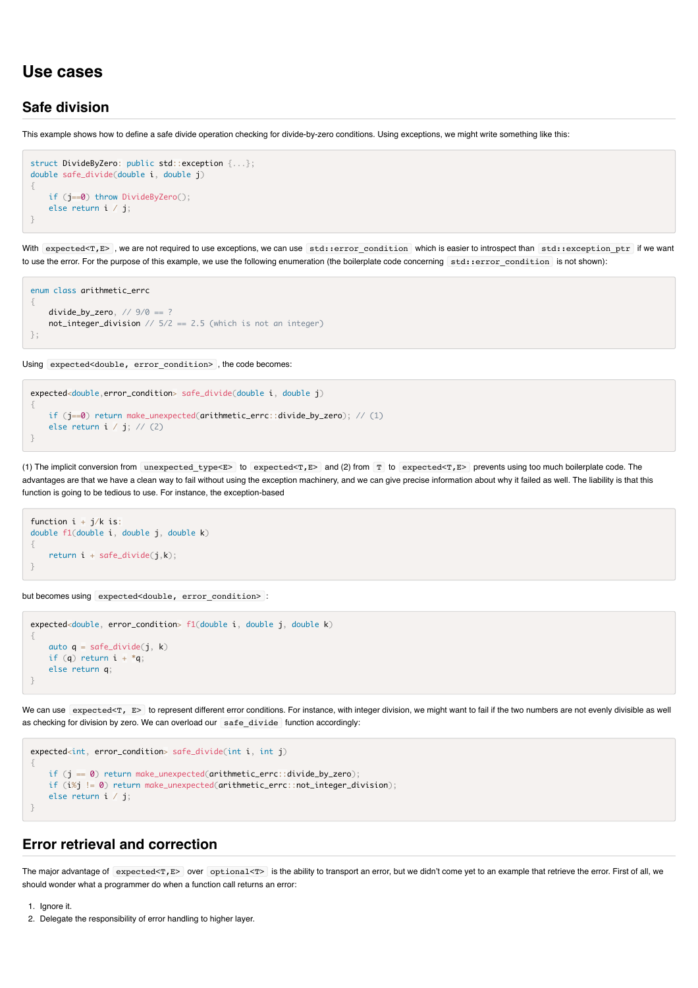## **Use cases**

### **Safe division**

This example shows how to define a safe divide operation checking for divide-by-zero conditions. Using exceptions, we might write something like this:

```
struct DivideByZero: public std::exception {...};
double safe_divide(double i, double j)
{
     if (j==0) throw DivideByZero();
     else return i / j;
}
```
With expected<T,E>, we are not required to use exceptions, we can use std::error\_condition which is easier to introspect than std::exception\_ptr if we want to use the error. For the purpose of this example, we use the following enumeration (the boilerplate code concerning std: error condition is not shown):

```
enum class arithmetic_errc
{
    divide\_by\_zero, // 9/0 == ?not\_integer\_division // 5/2 == 2.5 (which is not an integer)
};
```
Using expected<double, error\_condition> , the code becomes:

```
expected<double,error_condition> safe_divide(double i, double j)
{
      if (j==0) return make_unexpected(arithmetic_errc::divide_by_zero); // (1)
     else return i \overline{\phantom{a}} j; \overline{\phantom{a}} (2)
}
```
(1) The implicit conversion from unexpected\_type<E> to expected<T,E> and (2) from T to expected<T,E> prevents using too much boilerplate code. The advantages are that we have a clean way to fail without using the exception machinery, and we can give precise information about why it failed as well. The liability is that this function is going to be tedious to use. For instance, the exception-based

```
function i + i/k is:
double f1(double i, double j, double k)
{
    return i + safe\_divide(j, k);}
```
but becomes using expected<double, error\_condition> :

```
expected<double, error_condition> f1(double i, double j, double k)
{
   auto q = safe\_divide(j, k)if (q) return i + *q;
    else return q;
}
```
We can use expected<T, E> to represent different error conditions. For instance, with integer division, we might want to fail if the two numbers are not evenly divisible as well as checking for division by zero. We can overload our  $\sqrt{\sqrt{1 + \left( \frac{1}{n} \right)^2}}$  function accordingly:

```
expected<int, error_condition> safe_divide(int i, int j)
{
     if (j == 0) return make_unexpected(arithmetic_errc::divide_by_zero);
     if (i%j != 0) return make_unexpected(arithmetic_errc::not_integer_division);
     else return i / j;
}
```
### **Error retrieval and correction**

The major advantage of expected<T, $E$ > over optional<T> is the ability to transport an error, but we didn't come yet to an example that retrieve the error. First of all, we should wonder what a programmer do when a function call returns an error:

1. Ignore it.

<sup>2.</sup> Delegate the responsibility of error handling to higher layer.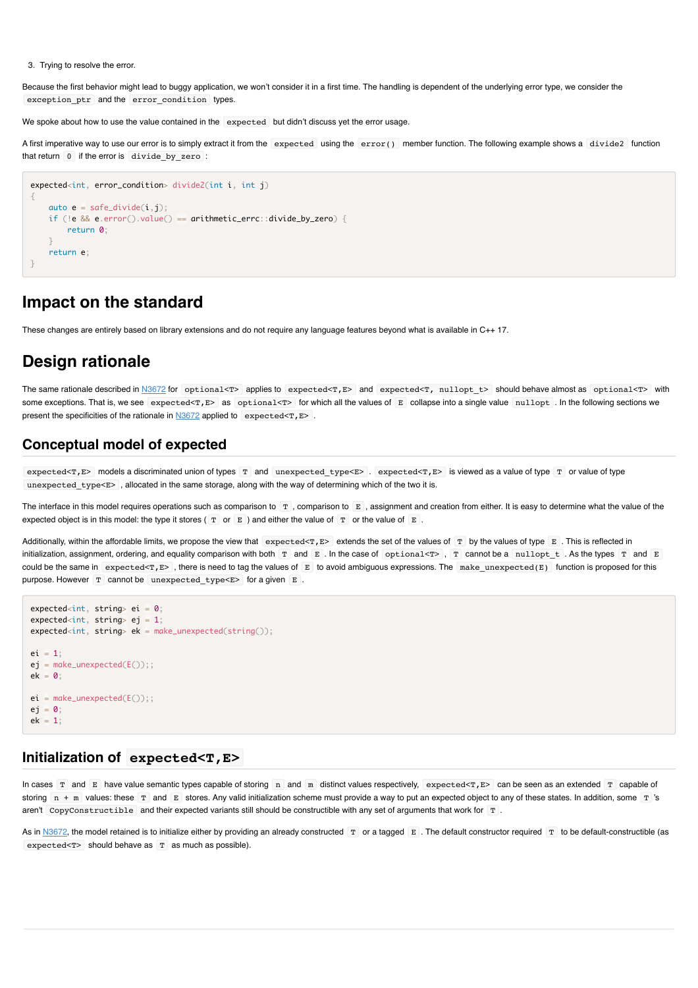3. Trying to resolve the error.

Because the first behavior might lead to buggy application, we won't consider it in a first time. The handling is dependent of the underlying error type, we consider the exception ptr and the error condition types.

We spoke about how to use the value contained in the expected but didn't discuss yet the error usage.

A first imperative way to use our error is to simply extract it from the expected using the error() member function. The following example shows a divide2 function that return 0 if the error is divide\_by\_zero :

```
expected<int, error condition> divide2(int i, int j)
{
   auto e = safe\_divide(i,j); if (!e && e.error().value() == arithmetic_errc::divide_by_zero) {
         return 0;
 }
    return e;
}
```
# **Impact on the standard**

These changes are entirely based on library extensions and do not require any language features beyond what is available in C++ 17.

# **Design rationale**

The same rationale described in [N3672](http://www.open-std.org/jtc1/sc22/wg21/docs/papers/2013/n3672.html) for optional<T> applies to expected<T,E> and expected<T, nullopt\_t> should behave almost as optional<T> with some exceptions. That is, we see expected<T,E> as optional<T> for which all the values of E collapse into a single value nullopt . In the following sections we present the specificities of the rationale in  $N3672$  applied to expected <T, E>.

### **Conceptual model of expected**

expected<T,E> models a discriminated union of types T and unexpected\_type<E> . expected<T,E> is viewed as a value of type T or value of type unexpected type $\leq$  , allocated in the same storage, along with the way of determining which of the two it is.

The interface in this model requires operations such as comparison to  $\mathbb{F}$ , comparison to  $\mathbb{E}$ , assignment and creation from either. It is easy to determine what the value of the expected object is in this model: the type it stores ( $T$  or  $E$  ) and either the value of  $T$  or the value of  $E$ .

Additionally, within the affordable limits, we propose the view that expected<T, E> extends the set of the values of  $\boxed{T}$  by the values of type E. This is reflected in initialization, assignment, ordering, and equality comparison with both  $T$  and  $E$ . In the case of optional  $\leq$  ,  $T$  cannot be a nullopt  $t$ . As the types  $T$  and  $E$ could be the same in expected<T, $E$ , there is need to tag the values of E to avoid ambiguous expressions. The make unexpected(E) function is proposed for this purpose. However  $T$  cannot be unexpected type < $E$ > for a given  $E$ .

```
expected<int, string> ei = 0;
expected<int, string> ej = 1;
expected<int, string> ek = make_unexpected(string());
pi = 1;
ej = make\_unexpected(E());;
ek = 0;
ei = make_unexpected(E());;
e^i = 0;
ek = 1;
```
### **Initialization of expected<T,E>**

In cases T and E have value semantic types capable of storing n and m distinct values respectively, expected<T, E> can be seen as an extended T capable of storing  $n + m$  values: these  $T$  and  $E$  stores. Any valid initialization scheme must provide a way to put an expected object to any of these states. In addition, some  $T$  's aren't CopyConstructible and their expected variants still should be constructible with any set of arguments that work for T.

As in [N3672,](http://www.open-std.org/jtc1/sc22/wg21/docs/papers/2013/n3672.html) the model retained is to initialize either by providing an already constructed T or a tagged E. The default constructor required T to be default-constructible (as  $expected <sub>T</sub>$  should behave as  $T$  as much as possible).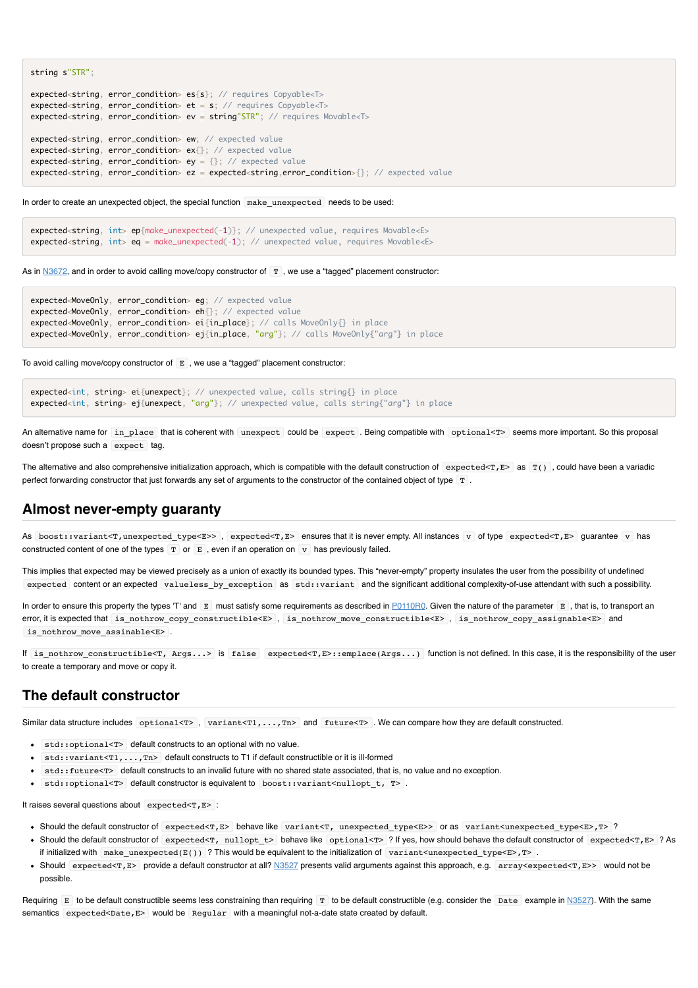```
expected<string, error_condition> es{s}; // requires Copyable<T>
expected<string, error_condition> et = s; // requires Copyable<T>
expected<string, error_condition> ev = string"STR"; // requires Movable<T>
expected<string, error_condition> ew; // expected value
expected<string, error_condition> ex{}; // expected value
expected<string, error_condition> ey = \{\}; // expected value
expected<string, error_condition> ez = expected<string,error_condition>{}; // expected value
```
In order to create an unexpected object, the special function make unexpected needs to be used:

```
expected<string, int> ep{make_unexpected(-1)}; // unexpected value, requires Movable<E>
expected<string, int> eq = make_unexpected(-1); // unexpected value, requires Movable<E>
```
As in  $N3672$ , and in order to avoid calling move/copy constructor of  $T$ , we use a "tagged" placement constructor:

```
expected<MoveOnly, error_condition> eg; // expected value
expected<MoveOnly, error_condition> eh{}; // expected value
expected<MoveOnly, error_condition> ei{in_place}; // calls MoveOnly{} in place
expected<MoveOnly, error_condition> ej{in_place, "arg"}; // calls MoveOnly{"arg"} in place
```
To avoid calling move/copy constructor of  $E$ , we use a "tagged" placement constructor:

```
expected<int, string> ei{unexpect}; // unexpected value, calls string{} in place
expected<int, string> ej{unexpect, "arg"}; // unexpected value, calls string{"arg"} in place
```
An alternative name for in place that is coherent with unexpect could be expect . Being compatible with optional<T> seems more important. So this proposal doesn't propose such a expect tag.

The alternative and also comprehensive initialization approach, which is compatible with the default construction of expected  $\langle T, E \rangle$  as  $T()$ , could have been a variadic perfect forwarding constructor that just forwards any set of arguments to the constructor of the contained object of type T.

### **Almost never-empty guaranty**

string s"STR";

As boost::variant<T,unexpected type<E>>, expected<T,E> ensures that it is never empty. All instances v of type expected<T,E> guarantee v has constructed content of one of the types  $T$  or  $E$ , even if an operation on v has previously failed.

This implies that expected may be viewed precisely as a union of exactly its bounded types. This "never-empty" property insulates the user from the possibility of undefined expected content or an expected valueless\_by\_exception as std::variant and the significant additional complexity-of-use attendant with such a possibility.

In order to ensure this property the types 'T' and E must satisfy some requirements as described in [P0110R0.](http://www.open-std.org/jtc1/sc22/wg21/docs/papers/2015/p0110r0.html) Given the nature of the parameter E, that is, to transport an error, it is expected that is\_nothrow\_copy\_constructible<E> , is\_nothrow\_move\_constructible<E> , is\_nothrow\_copy\_assignable<E> and is nothrow move assinable<E> .

If is\_nothrow\_constructible<T, Args...> is false expected<T,E>::emplace(Args...) function is not defined. In this case, it is the responsibility of the user to create a temporary and move or copy it.

### **The default constructor**

Similar data structure includes optional<T>, variant<T1,...,Tn> and future<T>. We can compare how they are default constructed.

- std::optional<T> default constructs to an optional with no value.
- std::variant<T1,...,Tn> default constructs to T1 if default constructible or it is ill-formed
- std::future<T> default constructs to an invalid future with no shared state associated, that is, no value and no exception.
- std::optional<T> default constructor is equivalent to boost::variant<nullopt\_t, T>.

It raises several questions about  $\alpha$  expected  $\epsilon$ T, E  $\ge$ 

- Should the default constructor of expected<T,E> behave like variant<T, unexpected type<E>> or as variant<unexpected type<E>,T> ?
- Should the default constructor of expected<T, nullopt t> behave like optional<T> ? If yes, how should behave the default constructor of expected<T,E> ? As if initialized with make\_unexpected(E()) ? This would be equivalent to the initialization of variant<unexpected type<E>, $T$ >.
- Should expected<T,E> provide a default constructor at all? [N3527](http://www.open-std.org/jtc1/sc22/wg21/docs/papers/2013/n3527.html.) presents valid arguments against this approach, e.g. array<expected<T,E>> would not be possible.

Requiring E to be default constructible seems less constraining than requiring T to be default constructible (e.g. consider the Date example in [N3527](http://www.open-std.org/jtc1/sc22/wg21/docs/papers/2013/n3527.html.)). With the same semantics expected<Date,E> would be Regular with a meaningful not-a-date state created by default.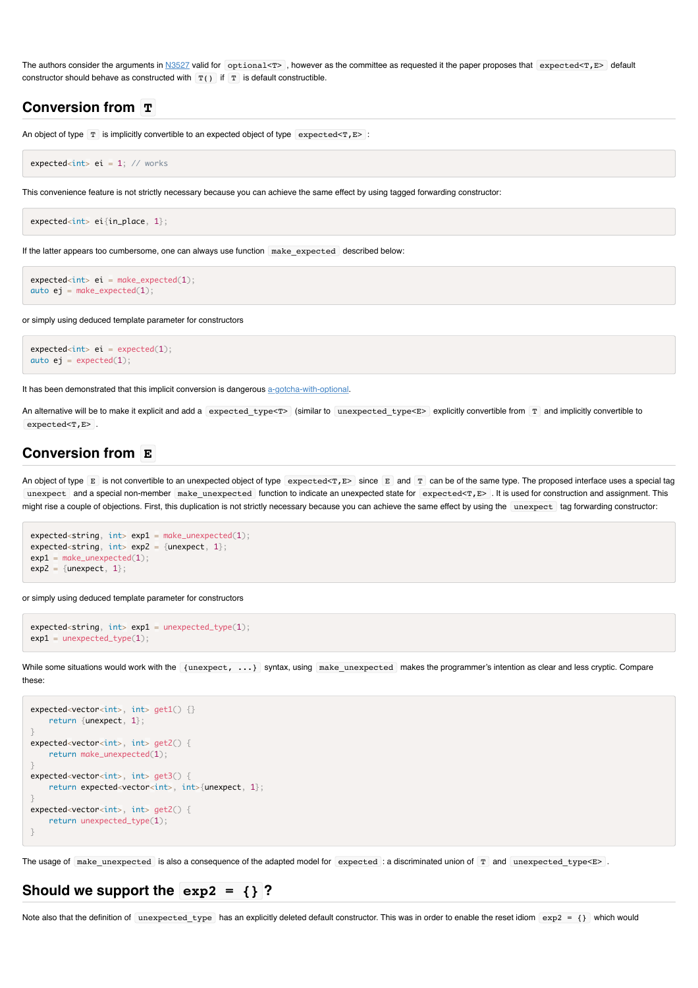The authors consider the arguments in  $N3527$  valid for optional<T>, however as the committee as requested it the paper proposes that expected<T,E> default constructor should behave as constructed with  $T()$  if  $T$  is default constructible.

### **Conversion from T**

An object of type  $T$  is implicitly convertible to an expected object of type expected  $\leq$   $T$ ,  $E$  > :

 $expected i = 1;$  // works

This convenience feature is not strictly necessary because you can achieve the same effect by using tagged forwarding constructor:

```
expected<int> ei{in_place, 1};
```
If the latter appears too cumbersome, one can always use function make expected described below:

```
expected<int> i = make\_expected(1);auto ej = make\_expected(1);
```
or simply using deduced template parameter for constructors

```
expected<int> i = expected(1);auto ej = expected(1);
```
It has been demonstrated that this implicit conversion is dangerous [a-gotcha-with-optional.](https://akrzemi1.wordpress.com/2014/12/02/a-gotcha-with-optional)

An alternative will be to make it explicit and add a expected type<T> (similar to unexpected type<E> explicitly convertible from T and implicitly convertible to expected<T,E>.

### **Conversion from E**

An object of type  $E$  is not convertible to an unexpected object of type expected<T,  $E$ > since  $E$  and  $T$  can be of the same type. The proposed interface uses a special tag unexpect and a special non-member make\_unexpected function to indicate an unexpected state for expected<T,E> . It is used for construction and assignment. This might rise a couple of objections. First, this duplication is not strictly necessary because you can achieve the same effect by using the unexpect ag forwarding constructor:

```
expected < string, int > exp1 = make\_unexpected(1);expected<string, int exp2 = {unexpect, 1};
exp1 = make\_unexpected(1);exp2 = {unexpect, 1};
```
or simply using deduced template parameter for constructors

```
expected<string, int> exp1 = unexpected_type(1);
exp1 = unexpected_type(1);
```
While some situations would work with the {unexpect, ...} syntax, using make\_unexpected makes the programmer's intention as clear and less cryptic. Compare these:

```
expected<vector<int>, int> get1() {}
    return {unexpect, 1};
}
expected<vector<int>, int> get2() {
     return make_unexpected(1);
}
expected<vector<int>, int> get3() {
    return expected<vector<int>, int>{unexpect, 1};
}
expected<vector<int>, int> get2() {
   return unexpected type(1);
}
```
The usage of make\_unexpected is also a consequence of the adapted model for expected : a discriminated union of T and unexpected\_type<E>.

### **Should we support the exp2 = {} ?**

Note also that the definition of unexpected\_type has an explicitly deleted default constructor. This was in order to enable the reset idiom  $\exp 2 = \{\}$  which would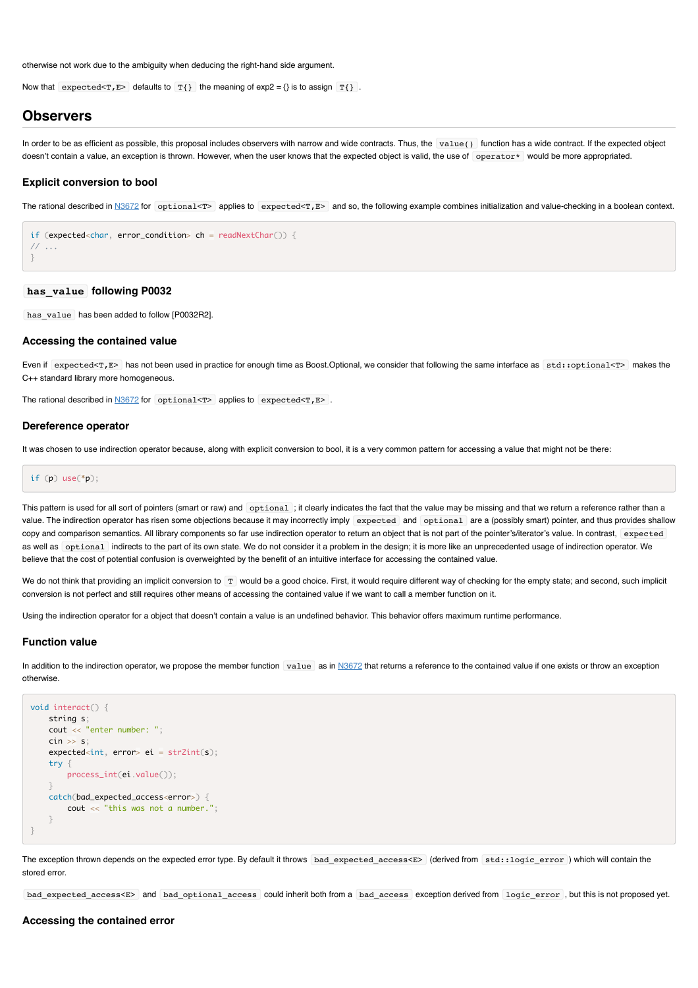otherwise not work due to the ambiguity when deducing the right-hand side argument.

Now that expected  $\leq$   $\mathbb{F}$ ,  $\mathbb{E}$  defaults to  $\mathbb{T}$ {} the meaning of exp2 = {} is to assign  $\mathbb{T}$ {}.

### **Observers**

In order to be as efficient as possible, this proposal includes observers with narrow and wide contracts. Thus, the value() function has a wide contract. If the expected object doesn't contain a value, an exception is thrown. However, when the user knows that the expected object is valid, the use of operator\* would be more appropriated.

#### **Explicit conversion to bool**

The rational described in  $\frac{N3672}{N}$  for optional<T> applies to expected<T, E> and so, the following example combines initialization and value-checking in a boolean context.

```
if (expected char, error condition> ch = readNextChar()) {
// ...
}
```
#### **has\_value following P0032**

has value has been added to follow [P0032R2].

#### **Accessing the contained value**

Even if expected<T,E> has not been used in practice for enough time as Boost.Optional, we consider that following the same interface as std::optional<T> makes the C++ standard library more homogeneous.

The rational described in  $N3672$  for optional<T>alphies to expected<T,E>.

#### **Dereference operator**

It was chosen to use indirection operator because, along with explicit conversion to bool, it is a very common pattern for accessing a value that might not be there:

if  $(p)$  use $(*p)$ :

This pattern is used for all sort of pointers (smart or raw) and optional; it clearly indicates the fact that the value may be missing and that we return a reference rather than a value. The indirection operator has risen some objections because it may incorrectly imply expected and optional are a (possibly smart) pointer, and thus provides shallow copy and comparison semantics. All library components so far use indirection operator to return an object that is not part of the pointer's/iterator's value. In contrast, expected as well as optional indirects to the part of its own state. We do not consider it a problem in the design; it is more like an unprecedented usage of indirection operator. We believe that the cost of potential confusion is overweighted by the benefit of an intuitive interface for accessing the contained value.

We do not think that providing an implicit conversion to T would be a good choice. First, it would require different way of checking for the empty state; and second, such implicit conversion is not perfect and still requires other means of accessing the contained value if we want to call a member function on it.

Using the indirection operator for a object that doesn't contain a value is an undefined behavior. This behavior offers maximum runtime performance.

#### **Function value**

In addition to the indirection operator, we propose the member function  $\bar{v}$  value as in [N3672](http://www.open-std.org/jtc1/sc22/wg21/docs/papers/2013/n3672.html) that returns a reference to the contained value if one exists or throw an exception otherwise.

```
void interact() {
    string s;
    cout << "enter number: ";
   \sin >> s;
    expected<int, error> ei = str2int(s);
     try {
         process_int(ei.value());
     }
     catch(bad_expected_access<error>) {
         cout << "this was not a number.";
     }
}
```
The exception thrown depends on the expected error type. By default it throws bad\_expected\_access< $E$ > (derived from std::logic\_error ) which will contain the stored error.

bad\_expected\_access<E> and bad\_optional\_access could inherit both from a bad\_access exception derived from logic\_error , but this is not proposed yet.

#### **Accessing the contained error**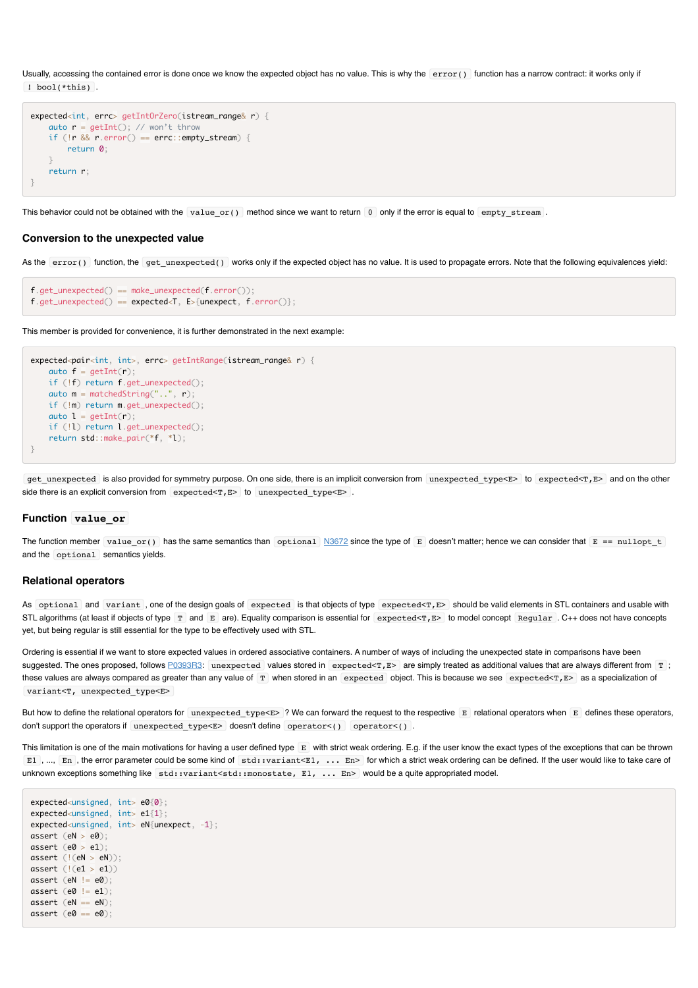Usually, accessing the contained error is done once we know the expected object has no value. This is why the  $\epsilon$  error() function has a narrow contract: it works only if ! bool(\*this) .

```
expected<int, errc> getIntOrZero(istream_range& r) {
   auto r = getInt(); // won't throwif (lr & 0.1; r. error() == error::empty\_stream) return 0;
 }
    return r;
}
```
This behavior could not be obtained with the value or() method since we want to return  $\overline{0}$  only if the error is equal to empty stream.

#### **Conversion to the unexpected value**

As the error() function, the get\_unexpected() works only if the expected object has no value. It is used to propagate errors. Note that the following equivalences yield:

```
f.get\_unexpected() == make\_unexpected(f_error());
f.get_unexpected() == expected<T, E>{unexpect, f.error()};
```
This member is provided for convenience, it is further demonstrated in the next example:

```
expected<pair<int, int>, errc> getIntRange(istream_range& r) {
   auto f = getInt(r); if (!f) return f.get_unexpected();
   auto m = matchedString("..", r)
    if (!m) return m.get_unexpected();
   auto l = getInt(r);
    if (!l) return l.get_unexpected();
    return std::make_pair(*f, *l);
}
```
get\_unexpected is also provided for symmetry purpose. On one side, there is an implicit conversion from unexpected\_type<E> to expected<T,E> and on the other side there is an explicit conversion from expected  $\tau$ ,  $E$  to unexpected type  $\epsilon$  .

#### **Function value\_or**

The function member value\_or() has the same semantics than optional  $N3672$  since the type of E doesn't matter; hence we can consider that  $E = null$  nullopt\_t and the optional semantics yields.

#### **Relational operators**

As optional and variant, one of the design goals of expected is that objects of type expected<T,E> should be valid elements in STL containers and usable with STL algorithms (at least if objects of type T and E are). Equality comparison is essential for expected<T, E> to model concept Regular . C++ does not have concepts yet, but being regular is still essential for the type to be effectively used with STL.

Ordering is essential if we want to store expected values in ordered associative containers. A number of ways of including the unexpected state in comparisons have been suggested. The ones proposed, follows [P0393R3](http://www.open-std.org/jtc1/sc22/wg21/docs/papers/2016/p0393r3.html): unexpected values stored in expected<T,  $E$ > are simply treated as additional values that are always different from T; these values are always compared as greater than any value of T when stored in an expected object. This is because we see expected<T, E> as a specialization of variant<T, unexpected type<E>

But how to define the relational operators for unexpected type<E> ? We can forward the request to the respective E relational operators when E defines these operators, don't support the operators if unexpected\_type<E> doesn't define operator<() operator<().

This limitation is one of the main motivations for having a user defined type E with strict weak ordering. E.g. if the user know the exact types of the exceptions that can be thrown E1, ..., En, the error parameter could be some kind of std: variant<E1, ... En> for which a strict weak ordering can be defined. If the user would like to take care of unknown exceptions something like std::variant<std::monostate, E1, ... En> would be a quite appropriated model.

```
expected<unsigned, int> e0{0};
expected<unsigned, int> e1{1};
expected<unsigned, int> eN{unexpect, -1};
assert (eN > e0);
assert (e0 > e1);
assert (l(eN > eN));assert (|(e1 \gt e1)|)assert (eN != e0):
assert (e0 := e1);assert (eN == eN);
assert (e0 == e0);
```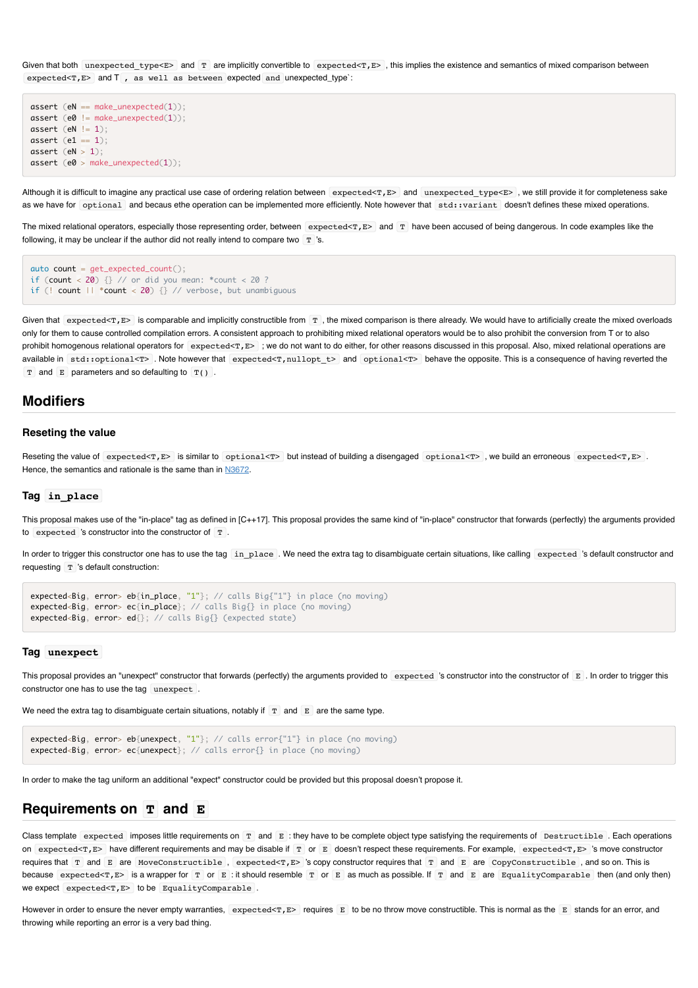Given that both unexpected type< $E$ > and T are implicitly convertible to expected<T, $E$ >, this implies the existence and semantics of mixed comparison between expected<T,E> and T , as well as between expected and unexpected\_type`:

```
assert (eN == make_unexpected(1));
assert (e0 != make\_unexpected(1));assert \left(\begin{array}{c|c} \text{eN} & \text{eN} \end{array}\right) = 1;
assert (e1 == 1);assert (eN > 1);
assert (e0 > make unexpected(1));
```
Although it is difficult to imagine any practical use case of ordering relation between expected<T,E> and unexpected\_type<E>, we still provide it for completeness sake as we have for optional and becaus ethe operation can be implemented more efficiently. Note however that std::variant doesn't defines these mixed operations.

The mixed relational operators, especially those representing order, between expected<T,E> and T have been accused of being dangerous. In code examples like the following, it may be unclear if the author did not really intend to compare two  $T$  's.

```
\alphauto count = get_expected_count();
if (count \langle 20 \rangle {} // or did you mean: *count \langle 20 \rangle ?
if (! count || *count < 20) {} // verbose, but unambiguous
```
Given that  $\epsilon$  expected<T,  $E$  is comparable and implicitly constructible from  $\Gamma$ , the mixed comparison is there already. We would have to artificially create the mixed overloads only for them to cause controlled compilation errors. A consistent approach to prohibiting mixed relational operators would be to also prohibit the conversion from T or to also prohibit homogenous relational operators for expected<T, $E$  ; we do not want to do either, for other reasons discussed in this proposal. Also, mixed relational operations are available in std::optional<T> . Note however that expected<T,nullopt t> and optional<T> behave the opposite. This is a consequence of having reverted the  $T$  and E parameters and so defaulting to  $T(1)$ .

### **Modifiers**

#### **Reseting the value**

Reseting the value of expected<T,E> is similar to optional<T> but instead of building a disengaged optional<T>, we build an erroneous expected<T,E>. Hence, the semantics and rationale is the same than in [N3672.](http://www.open-std.org/jtc1/sc22/wg21/docs/papers/2013/n3672.html)

#### **Tag in\_place**

This proposal makes use of the "in-place" tag as defined in [C++17]. This proposal provides the same kind of "in-place" constructor that forwards (perfectly) the arguments provided to expected 's constructor into the constructor of T .

In order to trigger this constructor one has to use the tag in place . We need the extra tag to disambiguate certain situations, like calling expected 's default constructor and requesting  $T$  's default construction:

```
expected<Big, error> eb{in_place, "1"}; // calls Big{"1"} in place (no moving)
expected<Big, error> ec{in_place}; // calls Big{} in place (no moving)
expected<Big, error> ed{}; // calls Big{} (expected state)
```
#### **Tag unexpect**

This proposal provides an "unexpect" constructor that forwards (perfectly) the arguments provided to expected 's constructor into the constructor of  $E$ . In order to trigger this constructor one has to use the tag unexpect.

We need the extra tag to disambiguate certain situations, notably if  $T$  and  $E$  are the same type.

```
expected<Big, error> eb{unexpect, "1"}; // calls error{"1"} in place (no moving)
expected<Big, error> ec{unexpect}; // calls error{} in place (no moving)
```
In order to make the tag uniform an additional "expect" constructor could be provided but this proposal doesn't propose it.

### **Requirements on T and E**

Class template expected imposes little requirements on T and E : they have to be complete object type satisfying the requirements of Destructible. Each operations on expected<T,E> have different requirements and may be disable if T or E doesn't respect these requirements. For example, expected<T,E> 's move constructor requires that  $T$  and  $E$  are MoveConstructible, expected<T,  $E$ > 's copy constructor requires that  $T$  and  $E$  are CopyConstructible, and so on. This is because expected<T,E> is a wrapper for  $T$  or  $E$  : it should resemble  $T$  or  $E$  as much as possible. If  $T$  and  $E$  are EqualityComparable then (and only then) we expect expected<T, E> to be EqualityComparable.

However in order to ensure the never empty warranties, expected<T,E> requires E to be no throw move constructible. This is normal as the E stands for an error, and throwing while reporting an error is a very bad thing.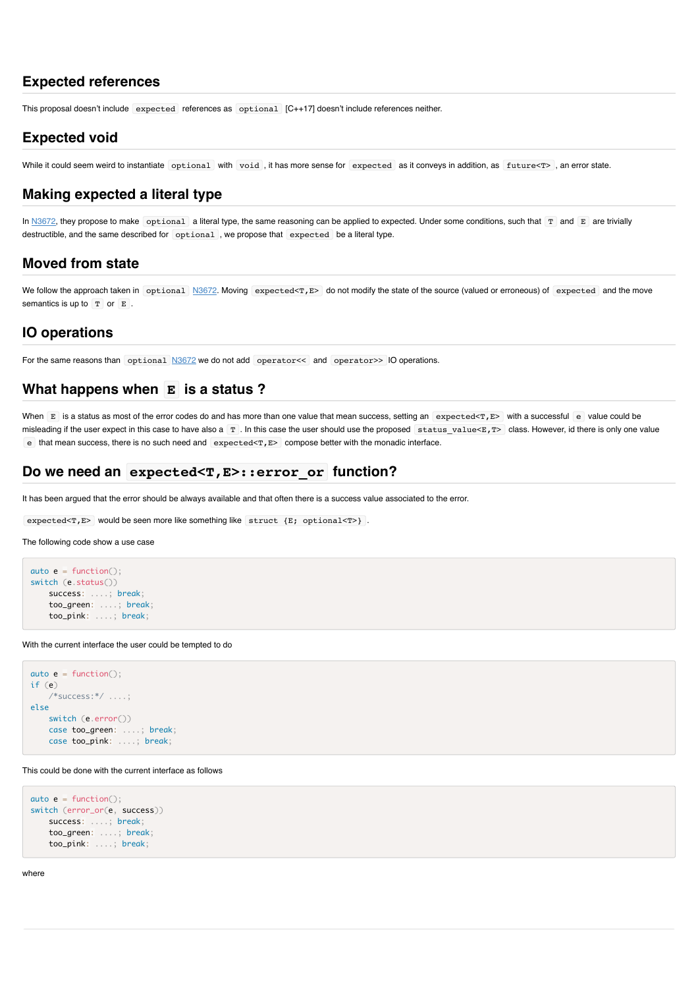### **Expected references**

This proposal doesn't include expected references as optional [C++17] doesn't include references neither.

### **Expected void**

While it could seem weird to instantiate optional with void, it has more sense for expected as it conveys in addition, as future<T>, an error state.

### **Making expected a literal type**

In  $N3672$ , they propose to make optional a literal type, the same reasoning can be applied to expected. Under some conditions, such that  $T$  and  $E$  are trivially destructible, and the same described for optional , we propose that expected be a literal type.

### **Moved from state**

We follow the approach taken in optional [N3672.](http://www.open-std.org/jtc1/sc22/wg21/docs/papers/2013/n3672.html) Moving expected<T,E> do not modify the state of the source (valued or erroneous) of expected and the move semantics is up to  $T$  or  $E$ .

### **IO operations**

For the same reasons than optional [N3672](http://www.open-std.org/jtc1/sc22/wg21/docs/papers/2013/n3672.html) we do not add operator<< and operator>> IO operations.

### **What happens when E is a status ?**

When E is a status as most of the error codes do and has more than one value that mean success, setting an expected<T,E> with a successful e value could be misleading if the user expect in this case to have also a  $T$ . In this case the user should use the proposed status\_value<E, $T$ > class. However, id there is only one value e that mean success, there is no such need and  $\exp{\text{cctd}}$ , E> compose better with the monadic interface.

### **Do we need an expected<T,E>::error\_or function?**

It has been argued that the error should be always available and that often there is a success value associated to the error.

expected<T,E> would be seen more like something like struct {E; optional<T>}.

The following code show a use case

```
auto e = function():
switch (e.status())
    success: ....; break;
     too_green: ....; break;
    too_pink: ....; break;
```
With the current interface the user could be tempted to do

```
auto e = function():
if (e)
     /*success:*/ ....;
else
    switch (e.error())
     case too_green: ....; break;
    case too_pink: ....; break;
```
This could be done with the current interface as follows

```
auto e = function();
switch (error_or(e, success))
    success: ....; break;
     too_green: ....; break;
    too_pink: ....; break;
```
where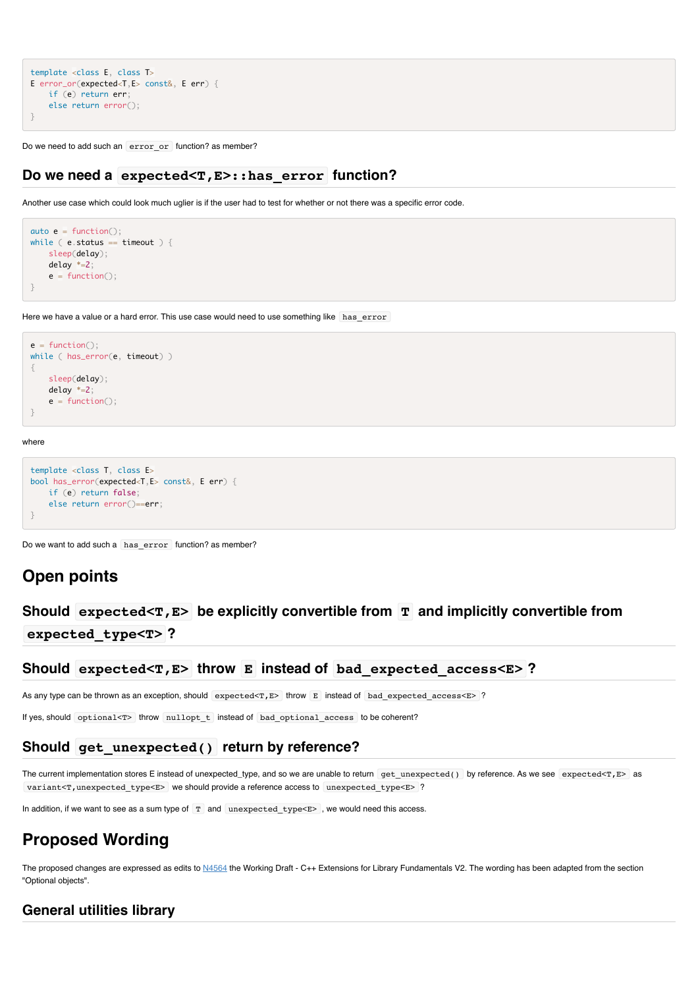```
template <class E, class T>
E error_or(expected<T,E> const&, E err) {
    if (e) return err;
    else return error();
}
```
Do we need to add such an error\_or function? as member?

### **Do we need a expected<T,E>::has\_error function?**

Another use case which could look much uglier is if the user had to test for whether or not there was a specific error code.

```
auto e = function();
while ( e. status == timeout ) {
    sleep(delay);
    delay *=2;
   e = function();
}
```
Here we have a value or a hard error. This use case would need to use something like has error

```
e = function():while ( has_error(e, timeout) )
{
    sleep(delay);
    delay *=2;
   e = function();
}
```
where

```
template <class T, class E>
bool has_error(expected<T,E> const&, E err) {
    if (e) return false;
    else return error()==err;
}
```
Do we want to add such a has error function? as member?

# **Open points**

# **Should expected<T,E> be explicitly convertible from T and implicitly convertible from expected\_type<T> ?**

**Should expected<T,E> throw E instead of bad\_expected\_access<E> ?**

As any type can be thrown as an exception, should expected<T, $E$ > throw E instead of bad expected access<E> ?

If yes, should optional<T> throw nullopt t instead of bad optional access to be coherent?

### **Should get\_unexpected() return by reference?**

The current implementation stores E instead of unexpected\_type, and so we are unable to return get unexpected() by reference. As we see expected<T,E> as variant<T, unexpected\_type<E> we should provide a reference access to unexpected\_type<E> ?

In addition, if we want to see as a sum type of  $T$  and unexpected\_type< $E$ >, we would need this access.

# **Proposed Wording**

The proposed changes are expressed as edits to [N4564](http://www.open-std.org/jtc1/sc22/wg21/docs/papers/2015/n4564.pdf) the Working Draft - C++ Extensions for Library Fundamentals V2. The wording has been adapted from the section "Optional objects".

### **General utilities library**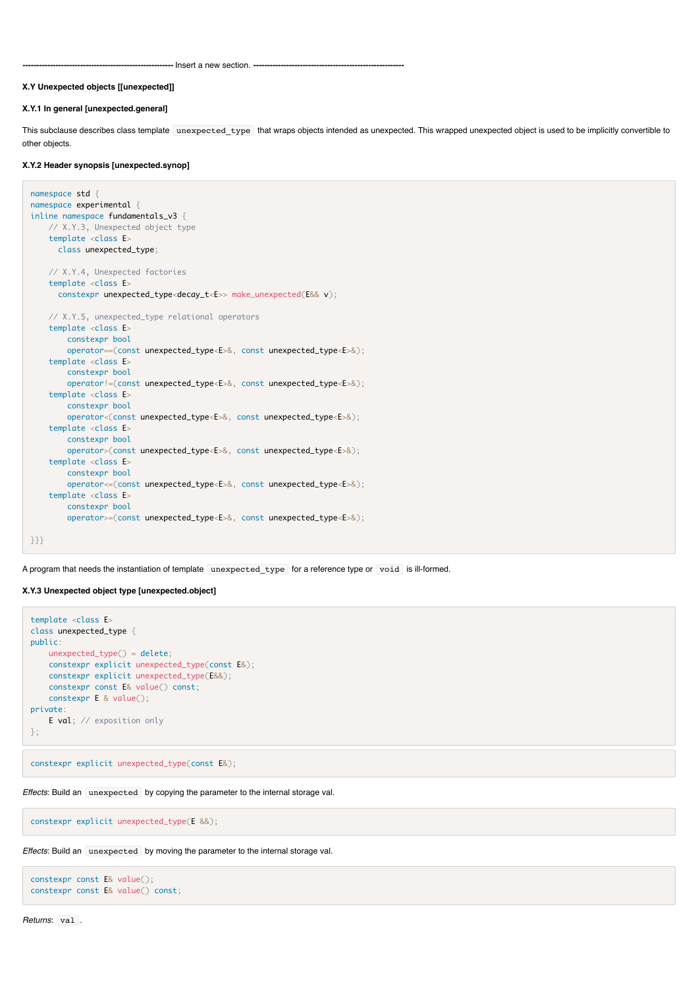*-------------------------------------------------------* Insert a new section. *-------------------------------------------------------*

#### **X.Y Unexpected objects [[unexpected]]**

#### **X.Y.1 In general [unexpected.general]**

This subclause describes class template unexpected\_type that wraps objects intended as unexpected. This wrapped unexpected object is used to be implicitly convertible to other objects.

#### **X.Y.2 Header synopsis [unexpected.synop]**

```
namespace std {
namespace experimental {
inline namespace fundamentals_v3 {
    // X.Y.3, Unexpected object type
   template <class E>
      class unexpected_type;
    // X.Y.4, Unexpected factories
    template <class E>
      constexpr unexpected_type<decay_t<E>> make_unexpected(E&& v);
    // X.Y.5, unexpected_type relational operators
    template <class E>
        constexpr bool
        operator==(const unexpected_type<E>&, const unexpected_type<E>&);
     template <class E>
        constexpr bool
        operator!=(const unexpected_type<E>&, const unexpected_type<E>&);
    template <class E>
        constexpr bool
        operator<(const unexpected_type<E>&, const unexpected_type<E>&);
   template <class E>
        constexpr bool
        operator>(const unexpected_type<E>&, const unexpected_type<E>&);
    template <class E>
        constexpr bool
        operator<=(const unexpected_type<E>&, const unexpected_type<E>&);
     template <class E>
         constexpr bool
         operator>=(const unexpected_type<E>&, const unexpected_type<E>&);
}}}
```
A program that needs the instantiation of template unexpected\_type for a reference type or void is ill-formed.

#### **X.Y.3 Unexpected object type [unexpected.object]**

```
template <class E>
class unexpected_type {
public:
    unexpected_type() = delete;
     constexpr explicit unexpected_type(const E&);
    constexpr explicit unexpected_type(E&&);
    constexpr const E& value() const;
     constexpr E & value();
private:
    E val; // exposition only
};
```
constexpr explicit unexpected\_type(const E&);

*Effects*: Build an unexpected by copying the parameter to the internal storage val.

constexpr explicit unexpected\_type(E &&);

*Effects*: Build an unexpected by moving the parameter to the internal storage val.

```
constexpr const E& value();
constexpr const E& value() const;
```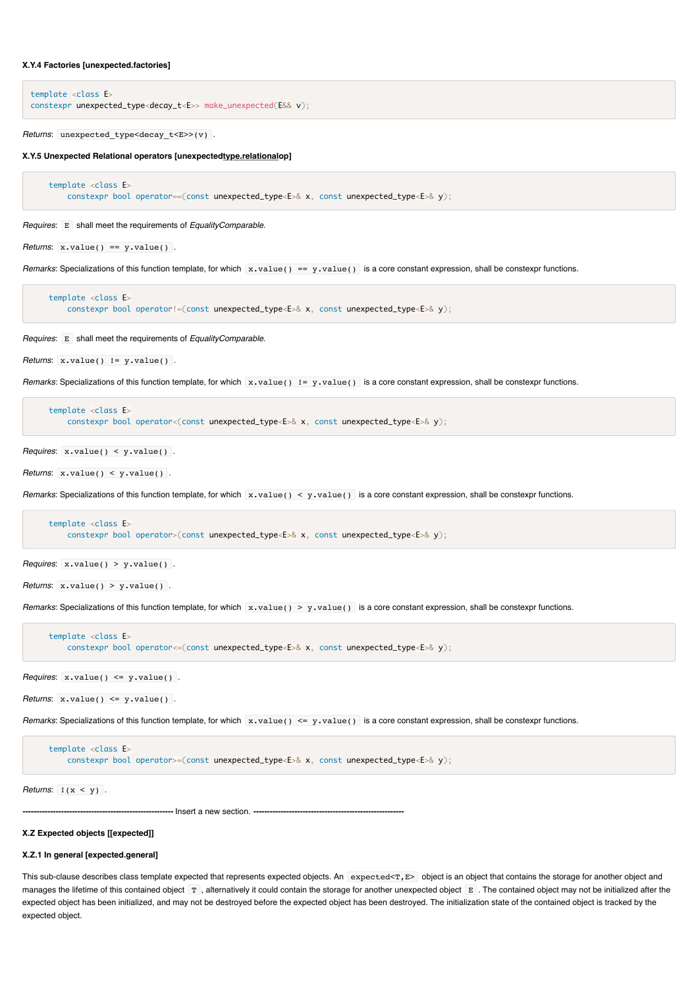#### **X.Y.4 Factories [unexpected.factories]**

```
template <class E>
constexpr unexpected_type<decay_t<E>> make_unexpected(E&& v);
```
*Returns*: unexpected\_type<decay\_t<E>>(v) .

**X.Y.5 Unexpected Relational operators [unexpectedtype.relationalop]**

```
 template <class E>
    constexpr bool operator==(const unexpected_type<E>& x, const unexpected_type<E>& y);
```
*Requires*: E shall meet the requirements of *EqualityComparable*.

*Returns*:  $x.value() == y.value()$ .

*Remarks*: Specializations of this function template, for which x.value() == y.value() is a core constant expression, shall be constexpr functions.

```
 template <class E>
    constexpr bool operator!=(const unexpected_type<E>& x, const unexpected_type<E>& y);
```
*Requires*: E shall meet the requirements of *EqualityComparable*.

```
Returns: x.value() != y.value().
```
*Remarks*: Specializations of this function template, for which x.value() != y.value() is a core constant expression, shall be constexpr functions.

```
 template <class E>
   constexpr bool operator<(const unexpected_type<E>& x, const unexpected_type<E>& y);
```
*Requires*: x.value() < y.value() .

*Returns*: x.value() < y.value() .

*Remarks*: Specializations of this function template, for which x.value() < y.value() is a core constant expression, shall be constexpr functions.

```
 template <class E>
    constexpr bool operator>(const unexpected_type<E>& x, const unexpected_type<E>& y);
```
*Requires*:  $x.value() > y.value()$ .

```
Returns: x.value() > y.value() .
```
*Remarks*: Specializations of this function template, for which x.value() > y.value() is a core constant expression, shall be constexpr functions.

```
 template <class E>
    constexpr bool operator <= (const unexpected_type <E>& x, const unexpected_type <E>& y);
```
*Requires*: x.value() <= y.value() .

*Returns*:  $x.value() \leq y.value()$ .

*Remarks*: Specializations of this function template, for which x.value() <= y.value() is a core constant expression, shall be constexpr functions.

```
 template <class E>
    constexpr bool operator>=(const unexpected_type<E>& x, const unexpected_type<E>& y);
```
*Returns*: !(x < y) .

*-------------------------------------------------------* Insert a new section. *-------------------------------------------------------*

#### **X.Z Expected objects [[expected]]**

#### **X.Z.1 In general [expected.general]**

This sub-clause describes class template expected that represents expected objects. An expected<T,E> object is an object that contains the storage for another object and manages the lifetime of this contained object T, alternatively it could contain the storage for another unexpected object E. The contained object may not be initialized after the expected object has been initialized, and may not be destroyed before the expected object has been destroyed. The initialization state of the contained object is tracked by the expected object.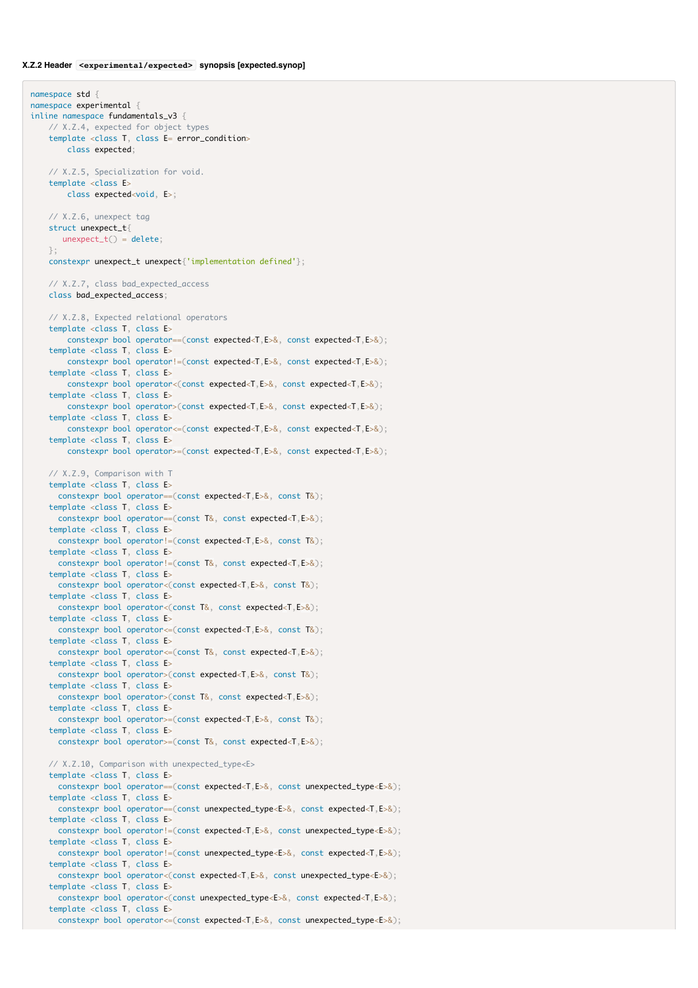namespace std { namespace experimental { inline namespace fundamentals v3 { // X.Z.4, expected for object types template <class T, class E= error\_condition> class expected; // X.Z.5, Specialization for void. template <class E> class expected<void, E>; // X.Z.6, unexpect tag struct unexpect\_t{  $unexpect_t() = delete;$  }; constexpr unexpect\_t unexpect{'implementation defined'}; // X.Z.7, class bad\_expected\_access class bad\_expected\_access; // X.Z.8, Expected relational operators template <class T, class E> constexpr bool operator==(const expected<T,E>&, const expected<T,E>&); template <class T, class E> constexpr bool operator!=(const expected<T,E>&, const expected<T,E>&); template <class T, class E> constexpr bool operator<(const expected<T,E>&, const expected<T,E>&); template <class T, class E> constexpr bool operator>(const expected<T,E>&, const expected<T,E>&); template <class T, class E> constexpr bool operator<=(const expected<T,E>&, const expected<T,E>&); template <class T, class E> constexpr bool operator>=(const expected<T,E>&, const expected<T,E>&); // X.Z.9, Comparison with T template <class T, class E> constexpr bool operator==(const expected<T,E>&, const T&); template <class T, class E> constexpr bool operator==(const T&, const expected<T,E>&); template <class T, class E> constexpr bool operator!=(const expected<T,E>&, const T&); template <class T, class E> constexpr bool operator!=(const T&, const expected<T,E>&); template <class T, class E> constexpr bool operator<(const expected<T,E>&, const T&); template <class T, class E> constexpr bool operator<(const T&, const expected<T,E>&); template <class T, class E> constexpr bool operator<=(const expected<T,E>&, const T&); template <class T, class E> constexpr bool operator<=(const T&, const expected<T,E>&); template <class T, class E> constexpr bool operator>(const expected<T,E>&, const T&); template <class T, class E> constexpr bool operator>(const T&, const expected<T,E>&); template <class T, class E> constexpr bool operator>=(const expected<T,E>&, const T&); template <class T, class E> constexpr bool operator>=(const T&, const expected<T,E>&); // X.Z.10, Comparison with unexpected\_type<E> template <class T, class E> constexpr bool operator==(const expected<T,E>&, const unexpected\_type<E>&); template <class T, class E> constexpr bool operator==(const unexpected\_type<E>&, const expected<T,E>&); template <class T, class E> constexpr bool operator!=(const expected<T,E>&, const unexpected\_type<E>&); template <class T, class E> constexpr bool operator!=(const unexpected\_type<E>&, const expected<T,E>&); template <class T, class E> constexpr bool operator<(const expected<T,E>&, const unexpected\_type<E>&); template <class T, class E> constexpr bool operator<(const unexpected\_type<E>&, const expected<T,E>&); template <class T, class E> constexpr bool operator<=(const expected<T,E>&, const unexpected\_type<E>&);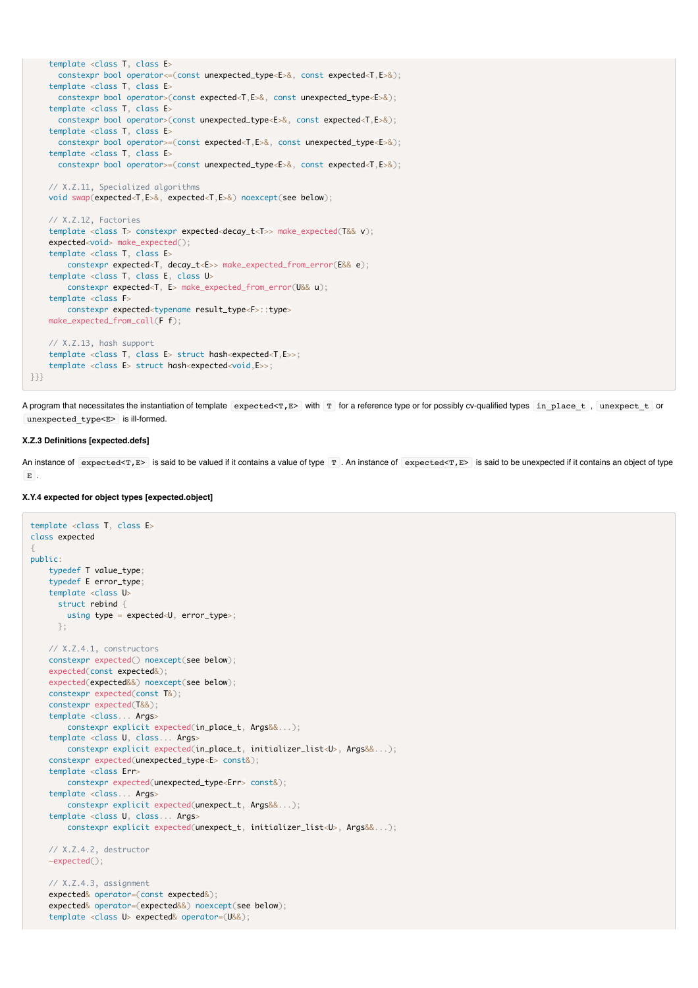```
 template <class T, class E>
       constexpr bool operator<=(const unexpected_type<E>&, const expected<T,E>&);
     template <class T, class E>
      constexpr bool operator>(const expected<T,E>&, const unexpected_type<E>&);
    template <class T, class E>
      constexpr bool operator>(const unexpected_type<E>&, const expected<T,E>&);
    template <class T, class E>
      constexpr bool operator>=(const expected<T,E>&, const unexpected_type<E>&);
    template <class T, class E>
      constexpr bool operator>=(const unexpected_type<E>&, const expected<T,E>&);
    // X.Z.11, Specialized algorithms
    void swap(expected<T,E>&, expected<T,E>&) noexcept(see below);
    // X.Z.12, Factories
   template <class T> constexpr expected<decay t<T>> make expected(T&& v);
     expected<void> make_expected();
    template <class T, class E>
        constexpr expected<T, decay_t<E>> make_expected_from_error(E&& e);
    template <class T, class E, class U>
        constexpr expected<T, E> make_expected_from_error(U&& u);
    template <class F>
        constexpr expected<typename result_type<F>::type>
    make_expected_from_call(F f);
    // X.Z.13, hash support
    template <class T, class E> struct hash<expected<T,E>>;
    template <class E> struct hash<expected<void,E>>;
}}}
```
A program that necessitates the instantiation of template expected  $\tau$ , E> with  $\tau$  for a reference type or for possibly cv-qualified types in place  $t$ , unexpect  $t$  or unexpected type<E> is ill-formed.

#### **X.Z.3 Definitions [expected.defs]**

An instance of expected<T,E> is said to be valued if it contains a value of type  $T$ . An instance of expected<T,E> is said to be unexpected if it contains an object of type E .

#### **X.Y.4 expected for object types [expected.object]**

```
template <class T, class E>
class expected
{
public:
    typedef T value_type;
     typedef E error_type;
     template <class U>
      struct rebind {
        using type = expected<U, error_type>;
      };
    // X.Z.4.1, constructors
    constexpr expected() noexcept(see below);
     expected(const expected&);
    expected(expected&&) noexcept(see below);
    constexpr expected(const T&);
    constexpr expected(T&&);
    template <class... Args>
        constexpr explicit expected(in_place_t, Args&&...);
    template <class U, class... Args>
        constexpr explicit expected(in_place_t, initializer_list<U>, Args&&...);
    constexpr expected(unexpected_type<E> const&);
    template <class Err>
         constexpr expected(unexpected_type<Err> const&);
    template <class... Args>
        constexpr explicit expected(unexpect_t, Args&&...);
    template <class U, class... Args>
         constexpr explicit expected(unexpect_t, initializer_list<U>, Args&&...);
    // X.Z.4.2, destructor
    ~expected();
    // X.Z.4.3, assignment
     expected& operator=(const expected&);
```
 expected& operator=(expected&&) noexcept(see below); template <class U> expected& operator=(U&&);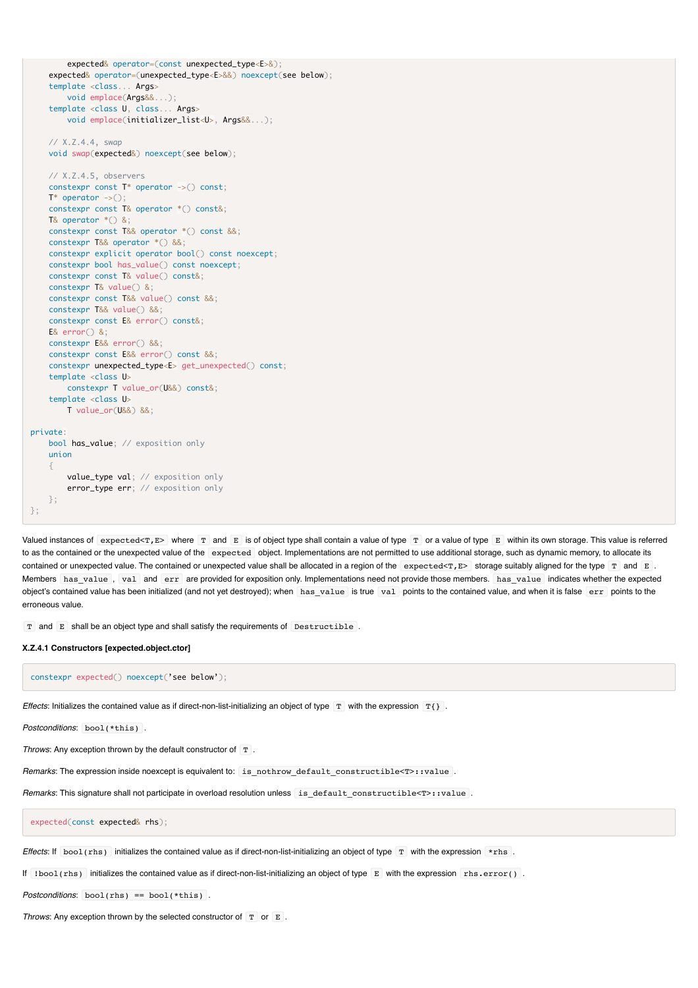```
expected& operator=(const unexpected type<E>&);
     expected& operator=(unexpected_type<E>&&) noexcept(see below);
     template <class... Args>
         void emplace(Args&&...);
     template <class U, class... Args>
         void emplace(initializer_list<U>, Args&&...);
    // X.Z.4.4, swap
    void swap(expected&) noexcept(see below);
    // X.Z.4.5, observers
    constexpr const T* operator ->() const;
   T^* operator \rightarrow \rightarrow \rightarrow \rightarrow constexpr const T& operator *() const&;
    T& operator *() &;
    constexpr const T&& operator *() const &&;
     constexpr T&& operator *() &&;
    constexpr explicit operator bool() const noexcept;
    constexpr bool has_value() const noexcept;
    constexpr const T& value() const&;
    constexpr T& value() &;
    constexpr const T&& value() const &&;
    constexpr T&& value() &&;
    constexpr const E& error() const&;
    E& error() &;
    constexpr E&& error() &&;
     constexpr const E&& error() const &&;
    constexpr unexpected_type<E> get_unexpected() const;
    template <class U>
         constexpr T value_or(U&&) const&;
     template <class U>
         T value_or(U&&) &&;
private:
    bool has_value; // exposition only
    union
\{ value_type val; // exposition only
         error_type err; // exposition only
    };
};
```
Valued instances of expected<T,E> where T and E is of object type shall contain a value of type T or a value of type E within its own storage. This value is referred to as the contained or the unexpected value of the expected object. Implementations are not permitted to use additional storage, such as dynamic memory, to allocate its contained or unexpected value. The contained or unexpected value shall be allocated in a region of the expected  $\leq$   $T$ ,  $E$  storage suitably aligned for the type  $T$  and  $E$ . Members has value , val and err are provided for exposition only. Implementations need not provide those members. has value indicates whether the expected object's contained value has been initialized (and not yet destroyed); when has value is true val points to the contained value, and when it is false err points to the erroneous value.

T and E shall be an object type and shall satisfy the requirements of Destructible .

#### **X.Z.4.1 Constructors [expected.object.ctor]**

constexpr expected() noexcept('see below');

*Effects*: Initializes the contained value as if direct-non-list-initializing an object of type  $T$  with the expression  $T\$ .

```
Postconditions: bool(*this) .
```
*Throws*: Any exception thrown by the default constructor of T.

*Remarks*: The expression inside noexcept is equivalent to: is nothrow default constructible<T>::value .

Remarks: This signature shall not participate in overload resolution unless is default constructible<T>::value .

expected(const expected& rhs);

*Effects*: If bool(rhs) initializes the contained value as if direct-non-list-initializing an object of type T with the expression \*rhs.

If  $1$ bool(rhs) initializes the contained value as if direct-non-list-initializing an object of type  $E$  with the expression rhs.error().

*Postconditions*: bool(rhs) == bool(\*this) .

*Throws:* Any exception thrown by the selected constructor of  $T$  or  $E$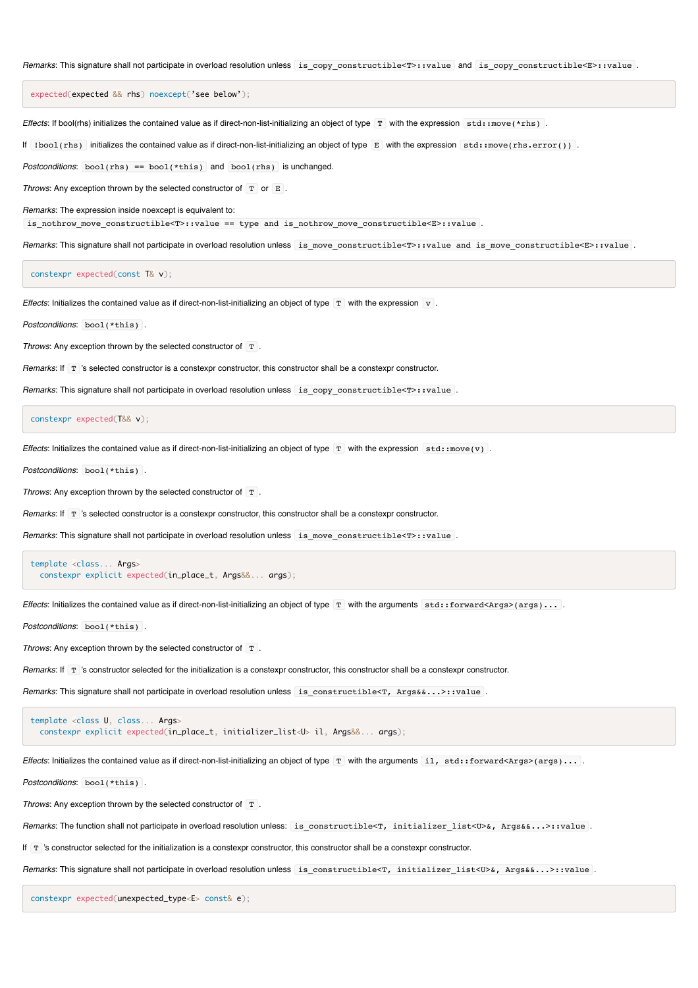Remarks: This signature shall not participate in overload resolution unless is copy constructible<T>::value and is copy constructible<E>::value .

expected(expected && rhs) noexcept('see below');

*Effects*: If bool(rhs) initializes the contained value as if direct-non-list-initializing an object of type T with the expression std::move(\*rhs).

If !bool(rhs) initializes the contained value as if direct-non-list-initializing an object of type E with the expression std::move(rhs.error()) .

*Postconditions*: bool(rhs) == bool(\*this) and bool(rhs) is unchanged.

*Throws*: Any exception thrown by the selected constructor of  $T$  or  $E$ .

*Remarks*: The expression inside noexcept is equivalent to:

is\_nothrow\_move\_constructible<T>::value == type and is\_nothrow\_move\_constructible<E>::value .

*Remarks*: This signature shall not participate in overload resolution unless is\_move\_constructible<T>::value and is\_move\_constructible<E>::value .

constexpr expected(const T& v);

*Effects*: Initializes the contained value as if direct-non-list-initializing an object of type  $T$  with the expression  $V$ .

*Postconditions*: bool(\*this) .

*Throws:* Any exception thrown by the selected constructor of T.

*Remarks*: If T 's selected constructor is a constexpr constructor, this constructor shall be a constexpr constructor.

*Remarks*: This signature shall not participate in overload resolution unless is\_copy\_constructible<T>::value .

constexpr expected(T&& v);

*Effects*: Initializes the contained value as if direct-non-list-initializing an object of type  $T$  with the expression std::move(v).

*Postconditions*: bool(\*this) .

*Throws:* Any exception thrown by the selected constructor of T

*Remarks*: If  $T$  's selected constructor is a constexpr constructor, this constructor shall be a constexpr constructor.

Remarks: This signature shall not participate in overload resolution unless is move constructible<T>::value .

```
template <class... Args>
  constexpr explicit expected(in_place_t, Args&&... args);
```
*Effects*: Initializes the contained value as if direct-non-list-initializing an object of type T with the arguments std::forward<Args>(args)...

*Postconditions*: bool(\*this) .

*Throws*: Any exception thrown by the selected constructor of T.

*Remarks*: If  $T$  's constructor selected for the initialization is a constexpr constructor, this constructor shall be a constexpr constructor.

*Remarks*: This signature shall not participate in overload resolution unless is constructible<T, Args&...>::value .

template <class U, class... Args> constexpr explicit expected(in\_place\_t, initializer\_list<U> il, Args&&... args);

*Effects*: Initializes the contained value as if direct-non-list-initializing an object of type  $T$  with the arguments il, std::forward<Args>(args)...

*Postconditions*: bool(\*this) .

*Throws:* Any exception thrown by the selected constructor of  $T$ .

*Remarks*: The function shall not participate in overload resolution unless: is\_constructible<T, initializer\_list<U>&, Args&&...>::value .

If  $T$  's constructor selected for the initialization is a constexpr constructor, this constructor shall be a constexpr constructor.

*Remarks*: This signature shall not participate in overload resolution unless is constructible<T, initializer list<U>&, Args&&...>::value .

constexpr expected(unexpected\_type<E> const& e);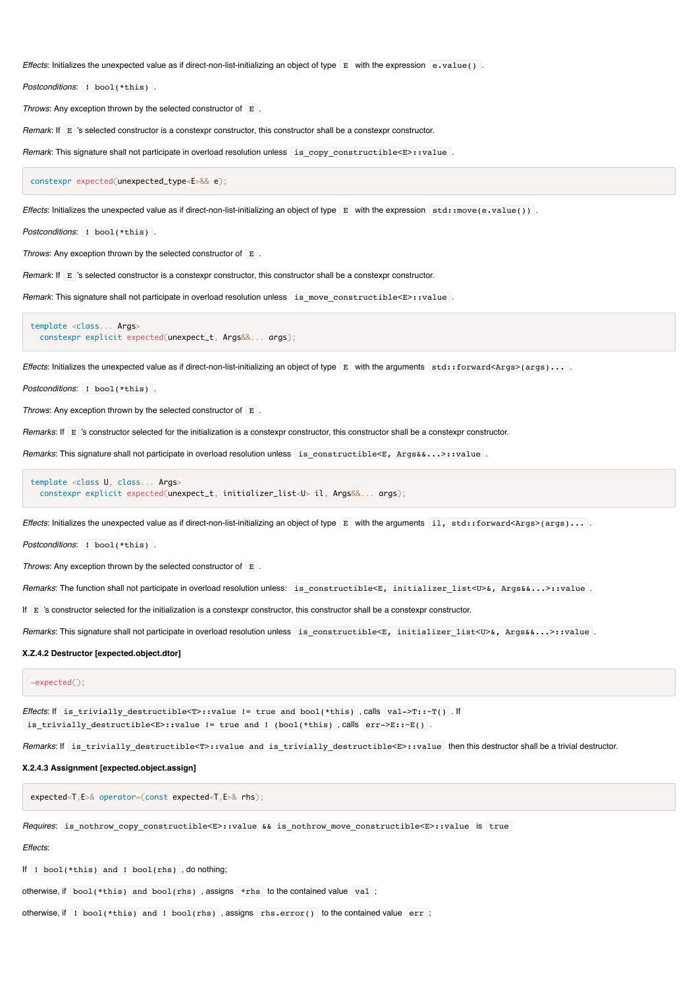*Effects*: Initializes the unexpected value as if direct-non-list-initializing an object of type E with the expression e.value() .

*Postconditions*: ! bool(\*this) .

*Throws*: Any exception thrown by the selected constructor of E .

*Remark*: If E 's selected constructor is a constexpr constructor, this constructor shall be a constexpr constructor.

Remark: This signature shall not participate in overload resolution unless is copy constructible<E>::value .

constexpr expected(unexpected\_type<E>&& e);

*Effects*: Initializes the unexpected value as if direct-non-list-initializing an object of type E with the expression std::move(e.value()).

*Postconditions*: ! bool(\*this) .

*Throws*: Any exception thrown by the selected constructor of E.

*Remark*: If E 's selected constructor is a constexpr constructor, this constructor shall be a constexpr constructor.

Remark: This signature shall not participate in overload resolution unless is move constructible<E>::value .

template <class... Args> constexpr explicit expected(unexpect\_t, Args&&... args);

*Effects*: Initializes the unexpected value as if direct-non-list-initializing an object of type E with the arguments std::forward<Args>(args)... .

*Postconditions*: ! bool(\*this) .

*Throws:* Any exception thrown by the selected constructor of  $E$ 

*Remarks*: If E 's constructor selected for the initialization is a constexpr constructor, this constructor shall be a constexpr constructor.

*Remarks*: This signature shall not participate in overload resolution unless is constructible<E, Args&&...>::value .

template <class U, class... Args> constexpr explicit expected(unexpect\_t, initializer\_list<U> il, Args&&... args);

*Effects*: Initializes the unexpected value as if direct-non-list-initializing an object of type E with the arguments il, std::forward<Args>(args)...

*Postconditions*: ! bool(\*this) .

*Throws*: Any exception thrown by the selected constructor of E .

*Remarks*: The function shall not participate in overload resolution unless: is\_constructible<E, initializer\_list<U>&, Args&&...>::value .

If E 's constructor selected for the initialization is a constexpr constructor, this constructor shall be a constexpr constructor.

*Remarks*: This signature shall not participate in overload resolution unless is constructible<E, initializer list<U>&, Args&&...>::value .

#### **X.Z.4.2 Destructor [expected.object.dtor]**

#### ~expected();

*Effects*: If is trivially destructible<T>::value != true and bool(\*this) , calls val->T::-T() . If is trivially destructible<E>::value != true and ! (bool(\*this) , calls  $err->E::E()$  .

*Remarks*: If is\_trivially\_destructible<T>::value and is\_trivially\_destructible<E>::value then this destructor shall be a trivial destructor.

#### **X.2.4.3 Assignment [expected.object.assign]**

expected<T,E>& operator=(const expected<T,E>& rhs);

*Requires*: is\_nothrow\_copy\_constructible<E>::value && is\_nothrow\_move\_constructible<E>::value is true

#### *Effects*:

If  $!$  bool(\*this) and  $!$  bool(rhs), do nothing;

otherwise, if  $bool(*this)$  and  $bool(rhs)$ , assigns \*rhs to the contained value val;

otherwise, if ! bool(\*this) and ! bool(rhs) , assigns rhs.error() to the contained value err ;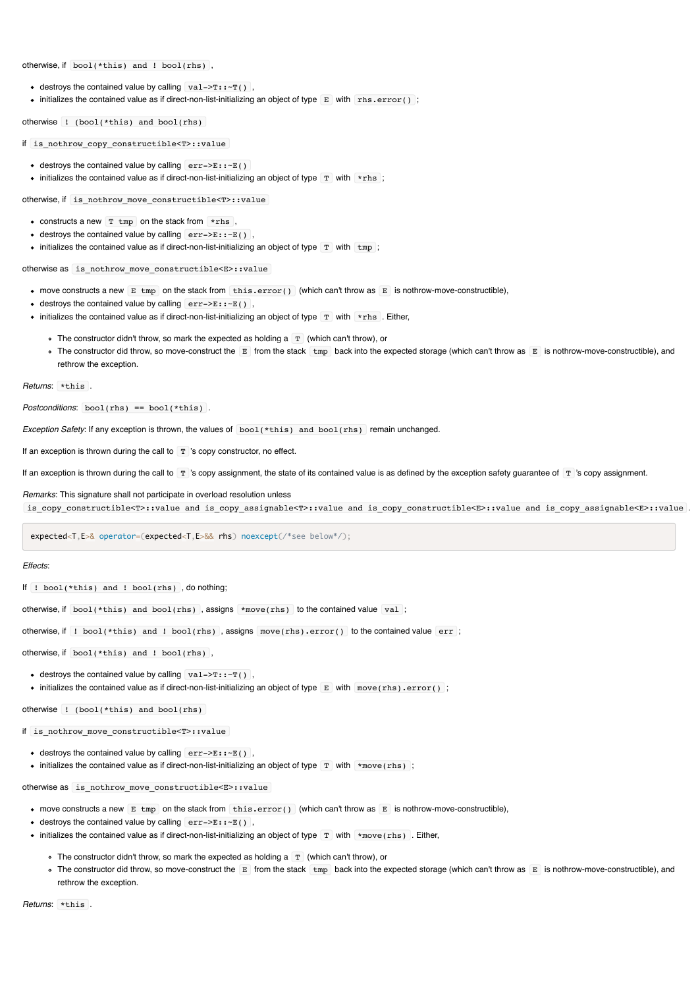otherwise, if bool(\*this) and ! bool(rhs) ,

- $\bullet$  destroys the contained value by calling  $\overline{val}$ ->T:: $\overline{r()}$ .
- $\bullet$  initializes the contained value as if direct-non-list-initializing an object of type  $\mathbb E$  with  $\mathbb E$  rhs.error() ;

otherwise ! (bool(\*this) and bool(rhs)

if is\_nothrow\_copy\_constructible<T>::value

- destroys the contained value by calling  $err->E:-E($ )
- initializes the contained value as if direct-non-list-initializing an object of type  $T$  with  $*$ rhs;

otherwise, if is\_nothrow\_move\_constructible<T>::value

- constructs a new  $T$  tmp on the stack from  $*$ rhs,
- destroys the contained value by calling  $err->E::E()$ ,
- initializes the contained value as if direct-non-list-initializing an object of type  $T$  with  $\text{tmp}$ ;

otherwise as is\_nothrow\_move\_constructible<E>::value

- move constructs a new  $E$  tmp on the stack from  $\text{this-error}()$  (which can't throw as  $E$  is nothrow-move-constructible),
- destroys the contained value by calling  $err->E:-E()$ ,
- initializes the contained value as if direct-non-list-initializing an object of type  $\boxed{T}$  with  $*_{\text{rhs}}$ . Either,
	- $\circ$  The constructor didn't throw, so mark the expected as holding a  $\boxed{T}$  (which can't throw), or
	- The constructor did throw, so move-construct the E from the stack tmp back into the expected storage (which can't throw as E is nothrow-move-constructible), and rethrow the exception.

*Returns*: \*this .

*Postconditions*: bool(rhs) == bool(\*this) .

*Exception Safety*: If any exception is thrown, the values of bool(\*this) and bool(rhs) remain unchanged.

If an exception is thrown during the call to  $T$  's copy constructor, no effect.

If an exception is thrown during the call to T 's copy assignment, the state of its contained value is as defined by the exception safety guarantee of T 's copy assignment.

#### *Remarks*: This signature shall not participate in overload resolution unless

is copy constructible<T>::value and is copy assignable<T>::value and is copy constructible<E>::value and is copy assignable<E>::value .

expected<T,E>& operator=(expected<T,E>&& rhs) noexcept(/\*see below\*/);

#### *Effects*:

If ! bool(\*this) and ! bool(rhs) , do nothing;

otherwise, if bool(\*this) and bool(rhs) , assigns \*move(rhs) to the contained value val ;

otherwise, if ! bool(\*this) and ! bool(rhs) , assigns move(rhs).error() to the contained value err ;

```
otherwise, if bool(*this) and ! bool(rhs) ,
```
- destroys the contained value by calling  $\boxed{\text{val}\text{-}\text{-}\text{-}\text{-}\text{-}\text{-}\text{-}\text{-}\text{-}\text{-}\text{-}\text{-}\text{-}}$
- initializes the contained value as if direct-non-list-initializing an object of type  $E$  with move(rhs).error();

otherwise ! (bool(\*this) and bool(rhs)

if is\_nothrow\_move\_constructible<T>::value

- destroys the contained value by calling  $err->E::E()$ ,
- initializes the contained value as if direct-non-list-initializing an object of type  $T$  with  $*$ move(rhs);

otherwise as is nothrow move constructible<E>::value

- $\bullet$  move constructs a new E tmp on the stack from this.error() (which can't throw as E is nothrow-move-constructible),
- destroys the contained value by calling  $err->E::E()$ ,
- $\bullet$  initializes the contained value as if direct-non-list-initializing an object of type  $\bar{T}$  with  $\star$ move(rhs). Either,
	- $\circ$  The constructor didn't throw, so mark the expected as holding a  $\boxed{T}$  (which can't throw), or
	- The constructor did throw, so move-construct the E from the stack tmp back into the expected storage (which can't throw as E is nothrow-move-constructible), and rethrow the exception.

*Returns*: \*this .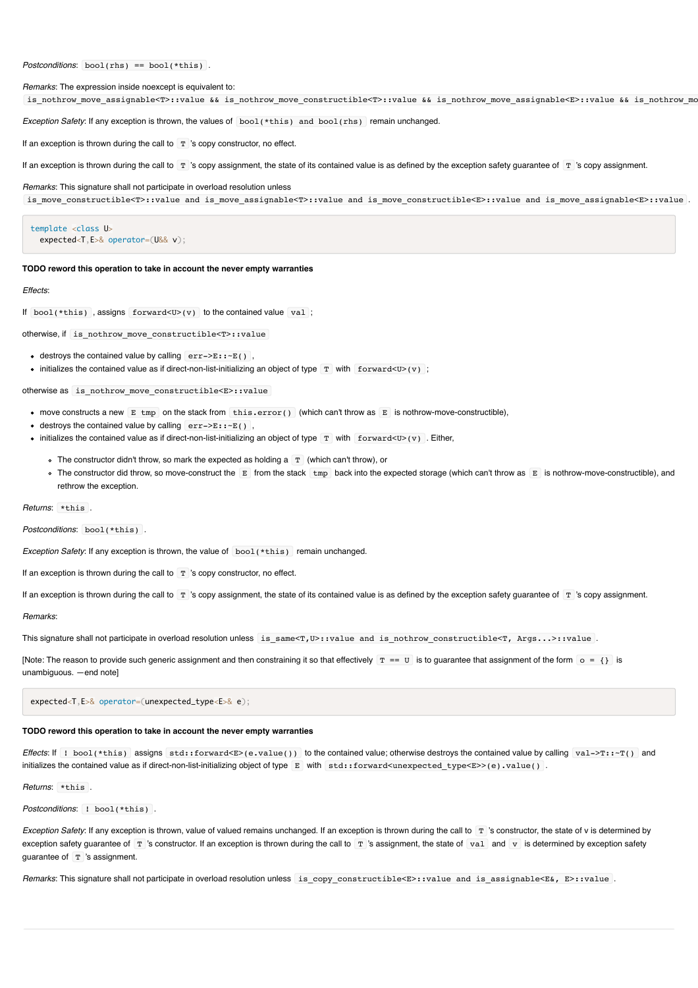*Postconditions*: bool(rhs) == bool(\*this) .

*Remarks*: The expression inside noexcept is equivalent to:

is nothrow move assignable<T>::value && is nothrow move constructible<T>::value && is nothrow move assignable<E>::value && is nothrow mo

*Exception Safety*: If any exception is thrown, the values of bool(\*this) and bool(rhs) remain unchanged.

If an exception is thrown during the call to  $T$  's copy constructor, no effect.

If an exception is thrown during the call to  $T$  's copy assignment, the state of its contained value is as defined by the exception safety quarantee of  $T$  's copy assignment.

#### *Remarks*: This signature shall not participate in overload resolution unless

is\_move\_constructible<T>::value and is\_move\_assignable<T>::value and is\_move\_constructible<E>::value and is\_move\_assignable<E>::value .

template <class U> expected<T,E>& operator=(U&& v);

#### **TODO reword this operation to take in account the never empty warranties**

#### *Effects*:

If  $bool(*this)$ , assigns  $forward< U>(v)$  to the contained value val;

otherwise, if is\_nothrow\_move\_constructible<T>::value

- destroys the contained value by calling  $err->E::E()$ ,
- initializes the contained value as if direct-non-list-initializing an object of type  $T$  with forward<U>(v);

otherwise as is\_nothrow\_move\_constructible<E>::value

- move constructs a new  $E$  tmp on the stack from this.error() (which can't throw as  $E$  is nothrow-move-constructible),
- $\bullet$  destroys the contained value by calling  $err = >E : r \in E$
- initializes the contained value as if direct-non-list-initializing an object of type  $T$  with forward<U>(v). Either,
	- $\circ$  The constructor didn't throw, so mark the expected as holding a  $\boxed{T}$  (which can't throw), or
	- The constructor did throw, so move-construct the E from the stack tmp back into the expected storage (which can't throw as E is nothrow-move-constructible), and rethrow the exception.

*Returns*: \*this .

*Postconditions*: bool(\*this) .

*Exception Safety*: If any exception is thrown, the value of **bool**(\*this) remain unchanged.

If an exception is thrown during the call to  $T$  's copy constructor, no effect.

If an exception is thrown during the call to T 's copy assignment, the state of its contained value is as defined by the exception safety guarantee of T 's copy assignment.

*Remarks*:

This signature shall not participate in overload resolution unless is\_same<T,U>::value and is\_nothrow\_constructible<T, Args...>::value .

[Note: The reason to provide such generic assignment and then constraining it so that effectively  $T = U$  is to guarantee that assignment of the form  $o = \{\}$  is unambiguous. —end note]

expected<T,E>& operator=(unexpected\_type<E>& e);

#### **TODO reword this operation to take in account the never empty warranties**

*Effects*: If ! bool(\*this) assigns std::forward<E>(e.value()) to the contained value; otherwise destroys the contained value by calling val->T::~T() and initializes the contained value as if direct-non-list-initializing object of type E with std::forward<unexpected\_type<E>>(e).value() .

*Returns*: \*this .

*Postconditions*: ! bool(\*this) .

*Exception Safety*: If any exception is thrown, value of valued remains unchanged. If an exception is thrown during the call to  $\bar{T}$  's constructor, the state of v is determined by exception safety quarantee of  $\Gamma$  's constructor. If an exception is thrown during the call to  $\Gamma$  's assignment, the state of  $\text{val}$  and  $\text{v}$  is determined by exception safety quarantee of  $T$  's assignment.

*Remarks*: This signature shall not participate in overload resolution unless is\_copy\_constructible<E>::value and is\_assignable<E&, E>::value .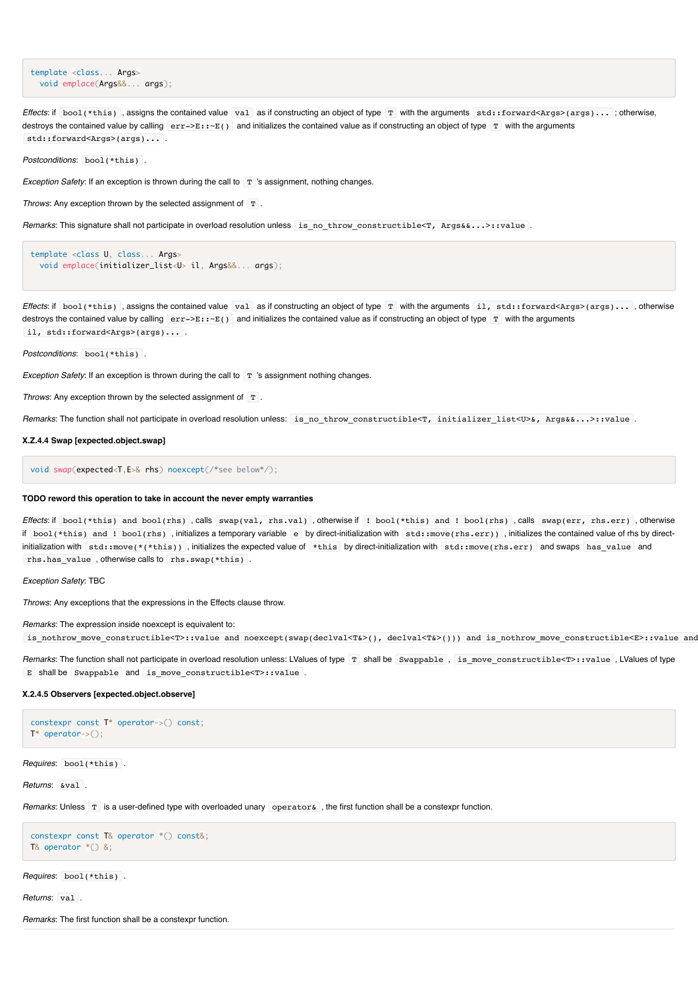template <class... Args> void emplace(Args&&... args);

*Effects*: if bool(\*this), assigns the contained value value at as if constructing an object of type T with the arguments std::forward<Args>(args)...; otherwise, destroys the contained value by calling  $\ket{err}$ - $\ket{E: -E}$  and initializes the contained value as if constructing an object of type  $\boxed{T}$  with the arguments std::forward<Args>(args)... .

*Postconditions*: bool(\*this) .

*Exception Safety*: If an exception is thrown during the call to  $\Gamma$  's assignment, nothing changes.

*Throws*: Any exception thrown by the selected assignment of T.

*Remarks*: This signature shall not participate in overload resolution unless is\_no\_throw\_constructible<T, Args&&...>::value .

```
template <class U, class... Args>
  void emplace(initializer_list<U> il, Args&&... args);
```
*Effects*: if bool(\*this), assigns the contained value val as if constructing an object of type T with the arguments il, std::forward<Args>(args)..., otherwise destroys the contained value by calling  $err->E:-E()$  and initializes the contained value as if constructing an object of type  $T$  with the arguments il, std::forward<Args>(args)....

*Postconditions*: bool(\*this) .

*Exception Safety*: If an exception is thrown during the call to T 's assignment nothing changes.

*Throws*: Any exception thrown by the selected assignment of T.

*Remarks*: The function shall not participate in overload resolution unless: is no throw constructible<T, initializer list<U>&, Args&&...>::value .

#### **X.Z.4.4 Swap [expected.object.swap]**

void swap(expected<T,E>& rhs) noexcept(/\*see below\*/);

#### **TODO reword this operation to take in account the never empty warranties**

*Effects*: if bool(\*this) and bool(rhs) , calls swap(val, rhs.val) , otherwise if ! bool(\*this) and ! bool(rhs) , calls swap(err, rhs.err) , otherwise if bool(\*this) and ! bool(rhs) , initializes a temporary variable e by direct-initialization with std::move(rhs.err)) , initializes the contained value of rhs by directinitialization with std::move(\*(\*this)) , initializes the expected value of \*this by direct-initialization with std::move(rhs.err) and swaps has\_value and rhs.has\_value , otherwise calls to rhs.swap(\*this) .

*Exception Safety*: TBC

*Throws*: Any exceptions that the expressions in the Effects clause throw.

*Remarks*: The expression inside noexcept is equivalent to:

is\_nothrow\_move\_constructible<T>::value and noexcept(swap(declval<T&>(), declval<T&>())) and is\_nothrow\_move\_constructible<E>::value and

*Remarks*: The function shall not participate in overload resolution unless: LValues of type T shall be Swappable , is\_move\_constructible<T>::value , LValues of type E shall be Swappable and is move constructible<T>::value .

#### **X.2.4.5 Observers [expected.object.observe]**

```
constexpr const T* operator->() const;
T* operator->();
```
*Requires*: bool(\*this) .

*Returns*: &val .

*Remarks*: Unless T is a user-defined type with overloaded unary operator &, the first function shall be a constexpr function.

```
constexpr const T& operator *() const&;
T& operator *() &;
```
*Requires*: bool(\*this) .

*Returns*: val .

*Remarks*: The first function shall be a constexpr function.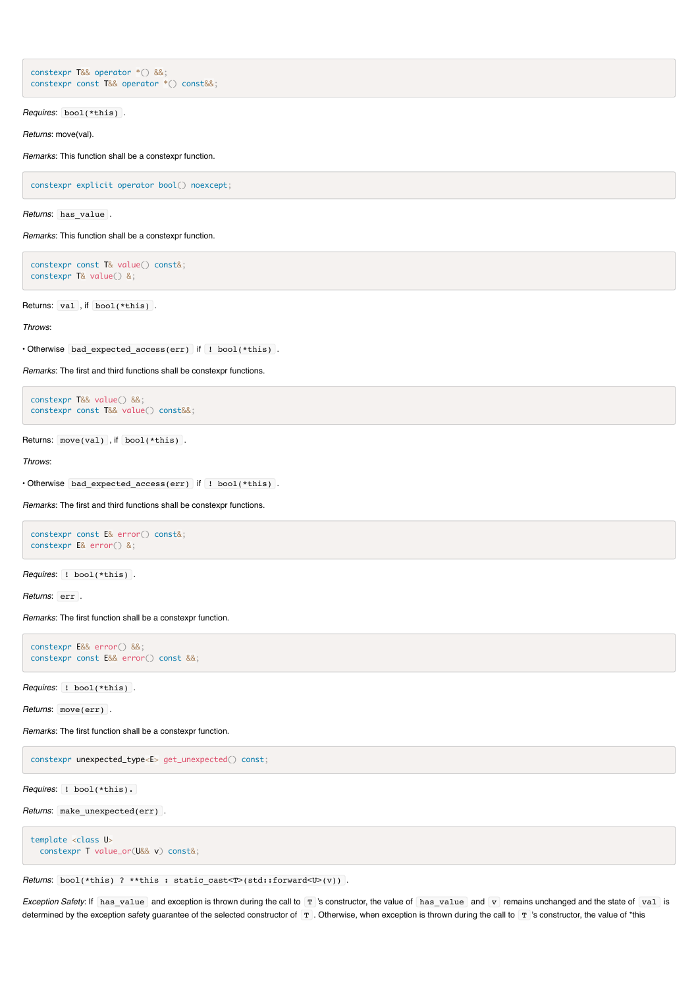```
constexpr T&& operator *() &&;
constexpr const T&& operator *() const&&;
```
*Requires*: bool(\*this) .

*Returns*: move(val).

*Remarks*: This function shall be a constexpr function.

constexpr explicit operator bool() noexcept;

*Returns*: has\_value .

*Remarks*: This function shall be a constexpr function.

constexpr const T& value() const&; constexpr T& value() &;

Returns: val, if bool(\*this).

*Throws*:

• Otherwise bad\_expected\_access(err) if ! bool(\*this) .

*Remarks*: The first and third functions shall be constexpr functions.

constexpr T&& value() &&; constexpr const T&& value() const&&;

Returns: move(val), if bool(\*this).

*Throws*:

• Otherwise bad\_expected\_access(err) if ! bool(\*this) .

*Remarks*: The first and third functions shall be constexpr functions.

```
constexpr const E& error() const&;
constexpr E& error() &;
```
*Requires*: ! bool(\*this) .

*Returns*: err .

*Remarks*: The first function shall be a constexpr function.

```
constexpr E&& error() &&;
constexpr const E&& error() const &&;
```
*Requires*: ! bool(\*this) .

*Returns*: move(err) .

*Remarks*: The first function shall be a constexpr function.

constexpr unexpected\_type<E> get\_unexpected() const;

*Requires*: ! bool(\*this).

*Returns*: make\_unexpected(err) .

template <class U> constexpr T value\_or(U&& v) const&;

*Returns*: bool(\*this) ? \*\*this : static\_cast<T>(std::forward<U>(v)) .

*Exception Safety*: If has\_value and exception is thrown during the call to T 's constructor, the value of has\_value and v remains unchanged and the state of val is determined by the exception safety guarantee of the selected constructor of T . Otherwise, when exception is thrown during the call to T 's constructor, the value of \*this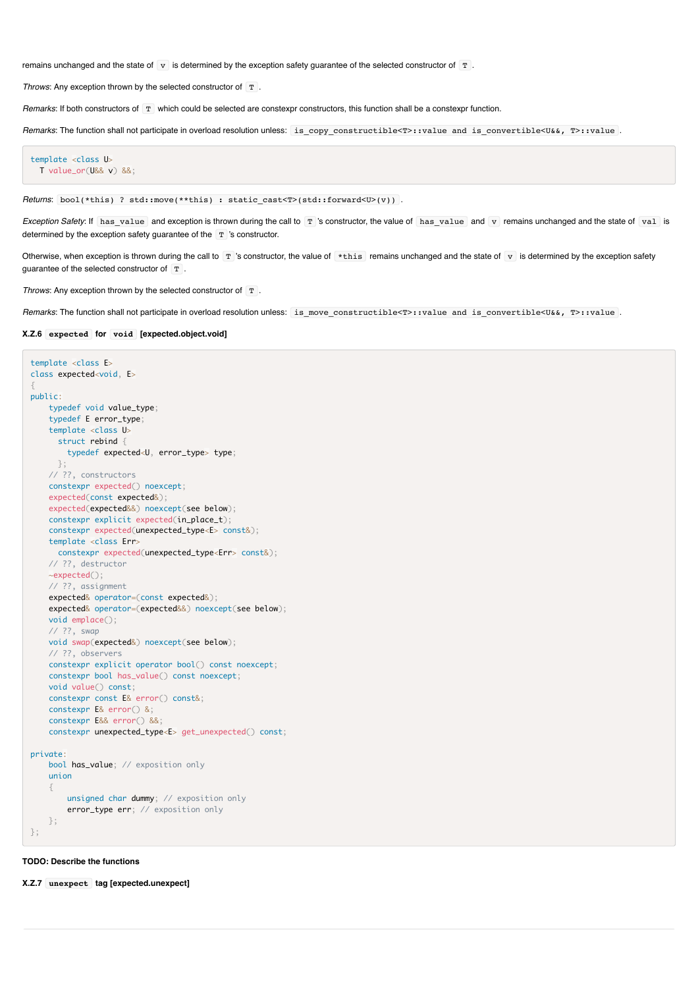remains unchanged and the state of  $\overline{v}$  is determined by the exception safety guarantee of the selected constructor of  $\overline{T}$ .

*Throws:* Any exception thrown by the selected constructor of  $T$ .

*Remarks*: If both constructors of T which could be selected are constexpr constructors, this function shall be a constexpr function.

*Remarks*: The function shall not participate in overload resolution unless: is\_copy\_constructible<T>::value and is\_convertible<U&&, T>::value .

```
template <class U>
  T value_or(U&& v) &&;
```
*Returns*: bool(\*this) ? std::move(\*\*this) : static\_cast<T>(std::forward<U>(v)).

*Exception Safety*: If has value and exception is thrown during the call to T 's constructor, the value of has value and v remains unchanged and the state of val is determined by the exception safety quarantee of the  $T$  's constructor.

Otherwise, when exception is thrown during the call to  $T$  's constructor, the value of  $*$ this remains unchanged and the state of  $v$  is determined by the exception safety quarantee of the selected constructor of  $T$ .

*Throws*: Any exception thrown by the selected constructor of T.

*Remarks*: The function shall not participate in overload resolution unless: is\_move\_constructible<T>::value and is\_convertible<U&&, T>::value .

#### **X.Z.6 expected for void [expected.object.void]**

```
template <class E>
class expected<void, E>
{
public:
    typedef void value_type;
     typedef E error_type;
    template <class U>
      struct rebind {
         typedef expected<U, error_type> type;
      };
    // ??, constructors
    constexpr expected() noexcept;
    expected(const expected&);
    expected(expected&&) noexcept(see below);
    constexpr explicit expected(in_place_t);
    constexpr expected(unexpected_type<E> const&);
    template <class Err>
       constexpr expected(unexpected_type<Err> const&);
    // ??, destructor
    ~expected();
    // ??, assignment
    expected& operator=(const expected&);
    expected& operator=(expected&&) noexcept(see below);
    void emplace();
     // ??, swap
    void swap(expected&) noexcept(see below);
    // ??, observers
    constexpr explicit operator bool() const noexcept;
    constexpr bool has_value() const noexcept;
    void value() const;
    constexpr const E& error() const&;
    constexpr E& error() &;
    constexpr E&& error() &&;
    constexpr unexpected_type<E> get_unexpected() const;
private:
   bool has_value; // exposition only
    union
     {
         unsigned char dummy; // exposition only
         error_type err; // exposition only
    };
};
```
**TODO: Describe the functions**

**X.Z.7 unexpect tag [expected.unexpect]**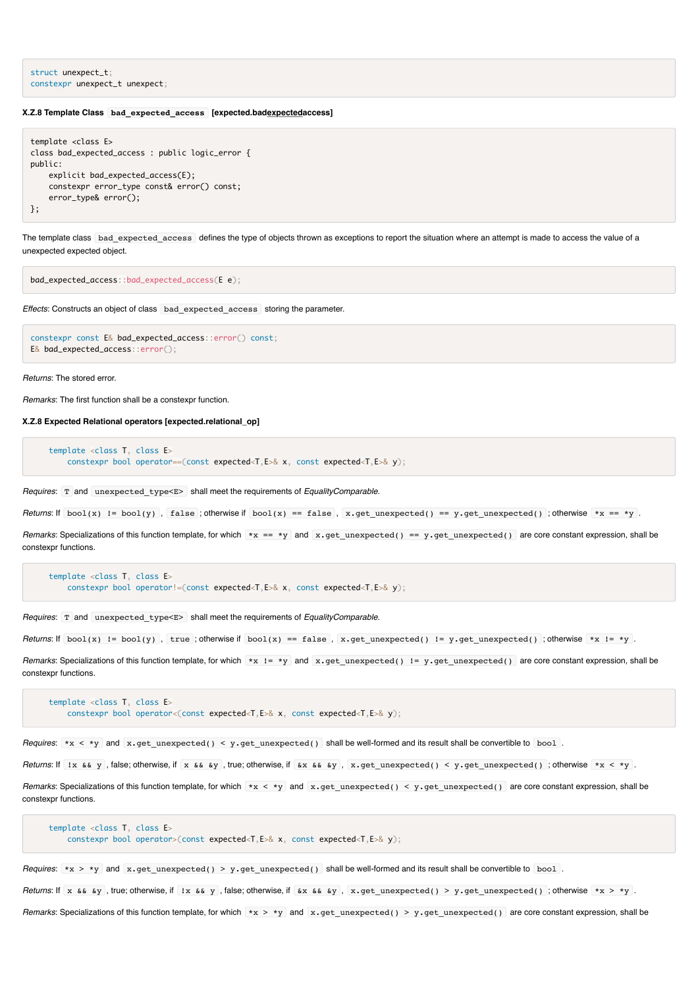```
struct unexpect_t;
constexpr unexpect_t unexpect;
```
#### **X.Z.8 Template Class bad\_expected\_access [expected.badexpectedaccess]**

```
template <class E>
class bad_expected_access : public logic_error {
public:
    explicit bad_expected_access(E);
    constexpr error_type const& error() const;
     error_type& error();
};
```
The template class bad expected access defines the type of objects thrown as exceptions to report the situation where an attempt is made to access the value of a unexpected expected object.

bad\_expected\_access::bad\_expected\_access(E e);

*Effects*: Constructs an object of class bad\_expected\_access storing the parameter.

```
constexpr const E& bad_expected_access::error() const;
E& bad_expected_access::error();
```
*Returns*: The stored error.

*Remarks*: The first function shall be a constexpr function.

**X.Z.8 Expected Relational operators [expected.relational\_op]**

```
 template <class T, class E>
   constexpr bool operator==(const expected<T,E>& x, const expected<T,E>& y);
```
*Requires*: T and unexpected\_type<E> shall meet the requirements of *EqualityComparable*.

*Returns*: If  $bool(x)$  !=  $bool(y)$ , false; otherwise if  $bool(x) == false$ , x.get\_unexpected() == y.get\_unexpected(); otherwise \*x == \*y.

*Remarks*: Specializations of this function template, for which \*x == \*y and x.get\_unexpected() == y.get\_unexpected() are core constant expression, shall be constexpr functions.

 template <class T, class E> constexpr bool operator!=(const expected<T,E>& x, const expected<T,E>& y);

*Requires*: T and unexpected\_type<E> shall meet the requirements of *EqualityComparable*.

*Returns*: If  $\text{bool}(x)$  !=  $\text{bool}(y)$ , true; otherwise if  $\text{bool}(x)$  == false, x.get unexpected() != y.get unexpected() ; otherwise \*x != \*y .

*Remarks*: Specializations of this function template, for which \*x != \*y and x.get\_unexpected() != y.get\_unexpected() are core constant expression, shall be constexpr functions.

```
 template <class T, class E>
    constexpr bool operator<(const expected<T,E>& x, const expected<T,E>& y);
```
*Requires*: \*x < \*y and x.get\_unexpected() < y.get\_unexpected() shall be well-formed and its result shall be convertible to bool .

*Returns*: If !x && y , false; otherwise, if x && &y , true; otherwise, if &x && &y , x.get\_unexpected() < y.get\_unexpected() ; otherwise \*x < \*y .

*Remarks*: Specializations of this function template, for which \*x < \*y and x.get\_unexpected() < y.get\_unexpected() are core constant expression, shall be constexpr functions.

```
 template <class T, class E>
     constexpr bool operator>(const expected<T,E>& x, const expected<T,E>& y);
```
*Requires*: \*x > \*y and x.get\_unexpected() > y.get\_unexpected() shall be well-formed and its result shall be convertible to bool .

*Returns*: If x && &y , true; otherwise, if !x && y , false; otherwise, if &x && &y , x.get\_unexpected() > y.get\_unexpected() ; otherwise \*x > \*y .

*Remarks*: Specializations of this function template, for which \*x > \*y and x.get unexpected() > y.get unexpected() are core constant expression, shall be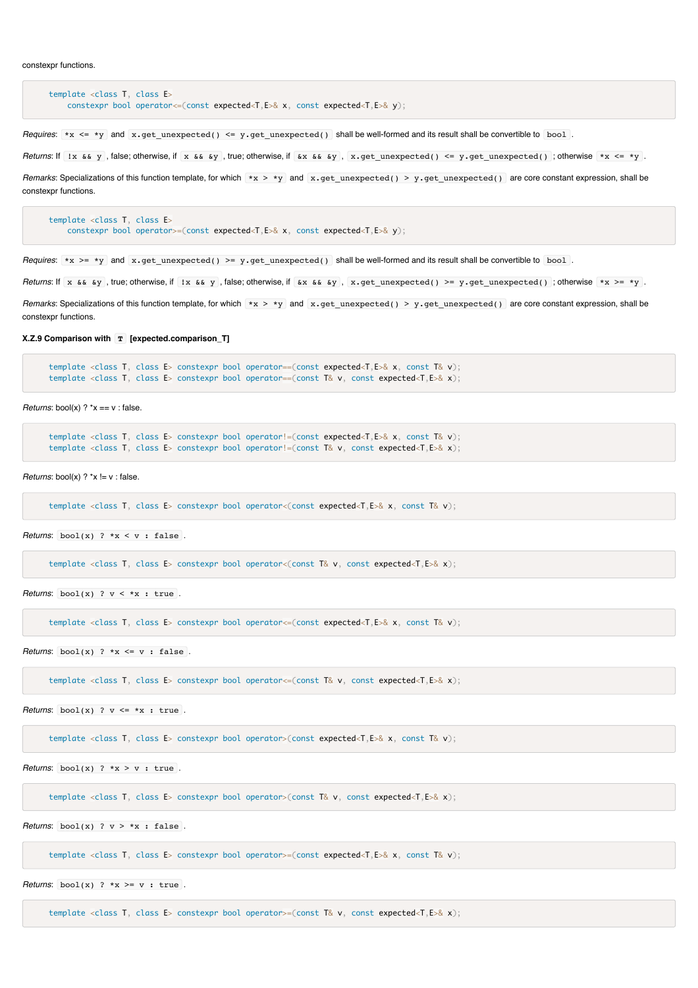```
 template <class T, class E>
    constexpr bool operator<=(const expected<T,E>& x, const expected<T,E>& y);
```
*Requires*: \*x <= \*y and x.get\_unexpected() <= y.get\_unexpected() shall be well-formed and its result shall be convertible to bool.

*Returns*: If !x && y , false; otherwise, if x && &y , true; otherwise, if &x && &y , x.get\_unexpected() <= y.get\_unexpected() ; otherwise \*x <= \*y .

*Remarks*: Specializations of this function template, for which \*x > \*y and x.get\_unexpected() > y.get\_unexpected() are core constant expression, shall be constexpr functions.

```
 template <class T, class E>
    constexpr bool operator>=(const expected<T,E>& x, const expected<T,E>& y);
```
*Requires*: \*x >= \*y and x.get unexpected() >= y.get unexpected() shall be well-formed and its result shall be convertible to bool.

*Returns*: If x && &y, true; otherwise, if !x && y, false; otherwise, if &x && &y, x.get\_unexpected() >= y.get\_unexpected(); otherwise \*x >= \*y.

*Remarks*: Specializations of this function template, for which \*x > \*y and x.get\_unexpected() > y.get\_unexpected() are core constant expression, shall be constexpr functions.

**X.Z.9 Comparison with T [expected.comparison\_T]**

```
 template <class T, class E> constexpr bool operator==(const expected<T,E>& x, const T& v);
 template <class T, class E> constexpr bool operator==(const T& v, const expected<T,E>& x);
```
*Returns*:  $bool(x)$  ?  $x == v$  : false.

 template <class T, class E> constexpr bool operator!=(const expected<T,E>& x, const T& v); template <class T, class E> constexpr bool operator!=(const T& v, const expected<T,E>& x);

*Returns*: bool(x) ? \*x != v : false.

template <class T, class E> constexpr bool operator<(const expected<T,E>& x, const T& v);

*Returns*:  $\text{bool}(x)$  ? \*x < v : false .

template <class T, class E> constexpr bool operator<(const T& v, const expected<T,E>& x);

*Returns*:  $\text{bool}(x)$  ?  $y \leq x$  : true

template <class T, class E> constexpr bool operator<=(const expected<T,E>& x, const T& v);

*Returns*:  $bool(x)$  ? \*x <= v : false.

template <class T, class E> constexpr bool operator<=(const T& v, const expected<T,E>& x);

*Returns*:  $\begin{bmatrix} \text{bool}(x) \\ \text{?} \end{bmatrix}$   $\begin{bmatrix} x & - & *x \\ \text{?} \end{bmatrix}$  : true.

template <class T, class E> constexpr bool operator>(const expected<T,E>& x, const T& v);

*Returns*:  $\text{bool}(x)$  ? \* $x > y$  : true.

template <class T, class E> constexpr bool operator>(const T& v, const expected<T,E>& x);

*Returns*:  $\text{bool}(x)$  ?  $v > *x$  : false.

template <class T, class E> constexpr bool operator>=(const expected<T,E>& x, const T& v);

*Returns*:  $bool(x)$  ? \*x >= v : true.

template  $\leq$ class T, class E> constexpr bool operator>=(const T& v, const expected $\leq$ T, E>& x);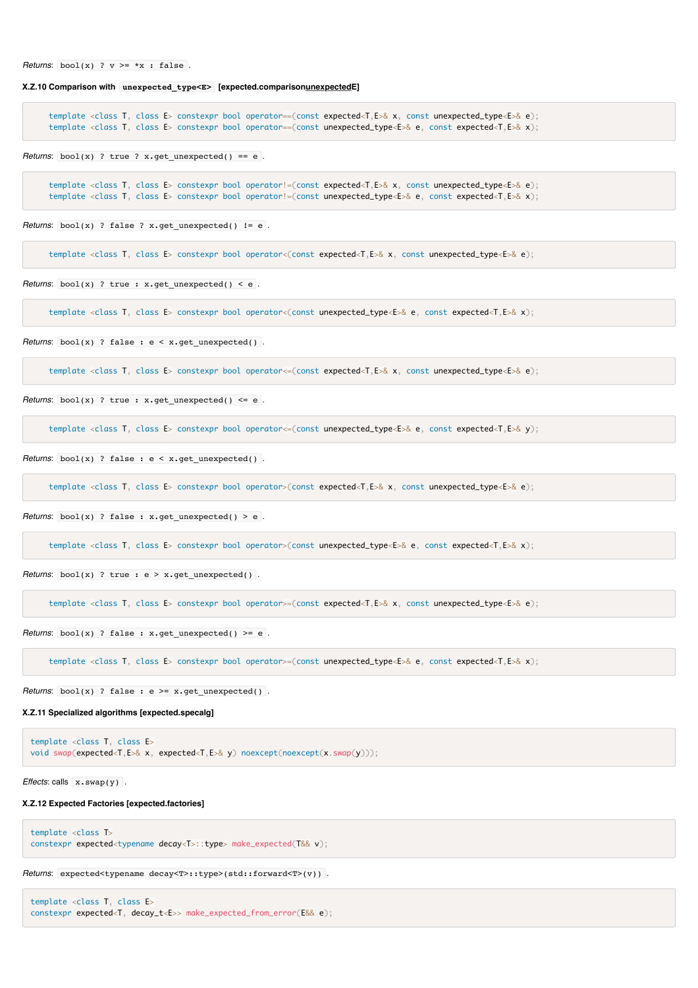*Returns*:  $bool(x)$  ?  $v \geq x$  : false.

**X.Z.10 Comparison with unexpected\_type<E> [expected.comparisonunexpectedE]**

 template <class T, class E> constexpr bool operator==(const expected<T,E>& x, const unexpected\_type<E>& e); template <class T, class E> constexpr bool operator==(const unexpected\_type<E>& e, const expected<T,E>& x);

*Returns*:  $bool(x)$  ? true ? x.get\_unexpected() == e.

template <class T, class E> constexpr bool operator!=(const expected<T,E>& x, const unexpected\_type<E>& e); template <class T, class E> constexpr bool operator!=(const unexpected\_type<E>& e, const expected<T,E>& x);

*Returns*:  $bool(x)$  ? false ? x.get\_unexpected()  $!=$  e .

template <class T, class E> constexpr bool operator<(const expected<T,E>& x, const unexpected type<E>& e);

*Returns*:  $bool(x)$  ? true :  $x.get\_unexpected() < e$ .

template <class T, class E> constexpr bool operator<(const unexpected\_type<E>& e, const expected<T,E>& x);

*Returns*: bool(x) ? false : e < x.get\_unexpected() .

template <class T, class E> constexpr bool operator<=(const expected<T,E>& x, const unexpected\_type<E>& e);

*Returns*:  $bool(x)$  ? true :  $x.get\_unexpected() \le e$ .

template <class T, class E> constexpr bool operator<=(const unexpected\_type<E>& e, const expected<T,E>& y);

*Returns*:  $bool(x)$  ? false :  $e \le x$ ,  $get$  unexpected() .

template <class T, class E> constexpr bool operator>(const expected<T,E>& x, const unexpected\_type<E>& e);

*Returns*:  $bool(x)$  ? false : x.get unexpected() > e.

template <class T, class E> constexpr bool operator>(const unexpected\_type<E>& e, const expected<T,E>& x);

*Returns*: bool(x) ? true : e > x.get\_unexpected() .

template <class T, class E> constexpr bool operator>=(const expected<T,E>& x, const unexpected\_type<E>& e);

*Returns*:  $bool(x)$  ? false : x.get unexpected() >= e .

template <class T, class E> constexpr bool operator>=(const unexpected\_type<E>& e, const expected<T,E>& x);

*Returns*:  $bool(x)$  ? false : e >= x.get unexpected() .

#### **X.Z.11 Specialized algorithms [expected.specalg]**

```
template <class T, class E>
void swap(expected<T,E>& x, expected<T,E>& y) noexcept(noexcept(x.swap(y)));
```
*Effects*: calls x.swap(y).

#### **X.Z.12 Expected Factories [expected.factories]**

```
template <class T>
constexpr expected<typename decay<T>::type> make expected(T&& v);
```

```
Returns: expected<typename decay<T>::type>(std::forward<T>(v)) .
```
template <class T, class E> constexpr expected<T, decay\_t<E>> make\_expected\_from\_error(E&& e);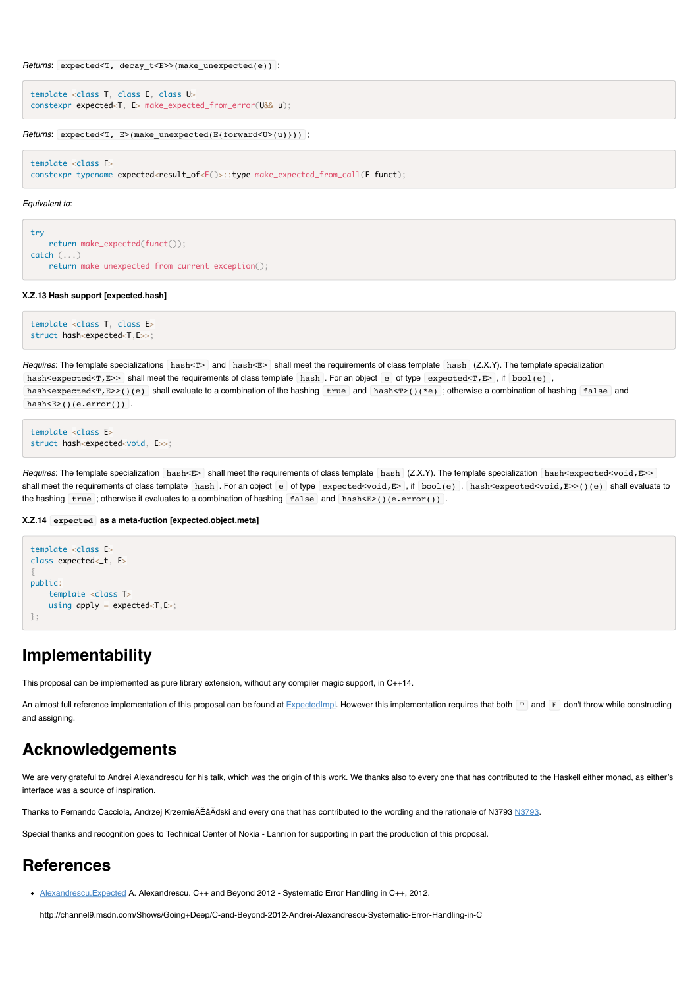```
Returns: expected<T, decay_t<E>>(make_unexpected(e)) ;
```

```
template <class T, class E, class U>
constexpr expected<T, E> make_expected_from_error(U&& u);
```
*Returns*: expected<T, E>(make unexpected(E{forward<U>(u)})) ;

template <class F> constexpr typename expected<result\_of<F()>::type make\_expected\_from\_call(F funct);

#### *Equivalent to*:

```
try
     return make_expected(funct());
catch (...)
     return make_unexpected_from_current_exception();
```
#### **X.Z.13 Hash support [expected.hash]**

```
template <class T, class E>
struct hash<expected<T,E>>;
```
*Requires*: The template specializations hash<T> and hash<E> shall meet the requirements of class template hash (Z.X.Y). The template specialization hash<expected<T,E>> shall meet the requirements of class template hash. For an object e of type expected<T,E>, if  $bool(e)$ , hash<expected<T,E>>()(e) shall evaluate to a combination of the hashing true and hash< $T>()$ (\*e); otherwise a combination of hashing false and hash<E>()(e.error()).

```
template <class E>
struct hash<expected<void, E>>;
```
Requires: The template specialization hash<E> shall meet the requirements of class template hash (Z.X.Y). The template specialization hash<expected<void,E>> shall meet the requirements of class template hash. For an object e of type expected<void,E>, if bool(e), hash<expected<void,E>>()(e) shall evaluate to the hashing true ; otherwise it evaluates to a combination of hashing false and hash $\le$  ()(e.error()).

#### **X.Z.14 expected as a meta-fuction [expected.object.meta]**

```
template <class E>
class expected< t. E>
{
public:
     template <class T>
    using apply = expected < T, E >;
};
```
# **Implementability**

This proposal can be implemented as pure library extension, without any compiler magic support, in C++14.

An almost full reference implementation of this proposal can be found at  $ExpectedImpl$ . However this implementation requires that both  $T$  and  $E$  don't throw while constructing and assigning.

# **Acknowledgements**

We are very grateful to Andrei Alexandrescu for his talk, which was the origin of this work. We thanks also to every one that has contributed to the Haskell either monad, as either's interface was a source of inspiration.

Thanks to Fernando Cacciola, Andrzej KrzemieÃĚâĂđski and every one that has contributed to the wording and the rationale of N3793 [N3793.](http://www.open-std.org/jtc1/sc22/wg21/docs/papers/2013/n3793.html)

Special thanks and recognition goes to Technical Center of Nokia - Lannion for supporting in part the production of this proposal.

### **References**

[Alexandrescu.Expected](http://channel9.msdn.com/Shows/Going+Deep/C-and-Beyond-2012-Andrei-Alexandrescu-Systematic-Error-Handling-in-C) A. Alexandrescu. C++ and Beyond 2012 - Systematic Error Handling in C++, 2012.

http://channel9.msdn.com/Shows/Going+Deep/C-and-Beyond-2012-Andrei-Alexandrescu-Systematic-Error-Handling-in-C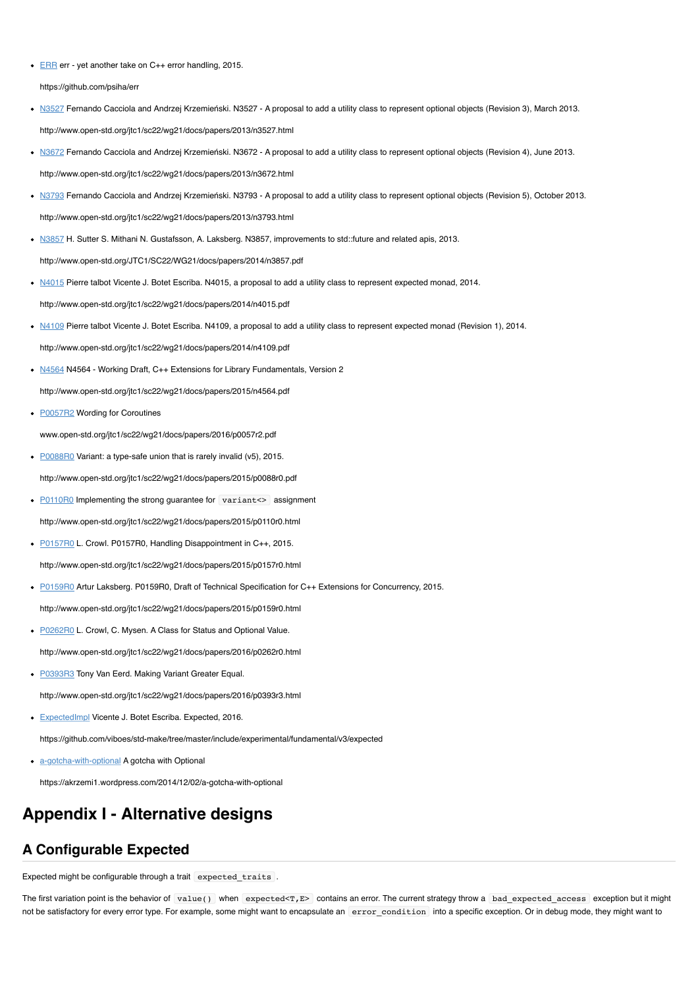● [ERR](https://github.com/psiha/err) err - yet another take on C++ error handling, 2015.

https://github.com/psiha/err

- . [N3527](http://www.open-std.org/jtc1/sc22/wg21/docs/papers/2013/n3527.html.) Fernando Cacciola and Andrzej Krzemieński. N3527 A proposal to add a utility class to represent optional objects (Revision 3), March 2013. http://www.open-std.org/jtc1/sc22/wg21/docs/papers/2013/n3527.html
- [N3672](http://www.open-std.org/jtc1/sc22/wg21/docs/papers/2013/n3672.html) Fernando Cacciola and Andrzej Krzemieński. N3672 A proposal to add a utility class to represent optional objects (Revision 4), June 2013. http://www.open-std.org/jtc1/sc22/wg21/docs/papers/2013/n3672.html
- [N3793](http://www.open-std.org/jtc1/sc22/wg21/docs/papers/2013/n3793.html) Fernando Cacciola and Andrzej Krzemieński. N3793 A proposal to add a utility class to represent optional objects (Revision 5), October 2013. http://www.open-std.org/jtc1/sc22/wg21/docs/papers/2013/n3793.html
- [N3857](http://www.open-std.org/JTC1/SC22/WG21/docs/papers/2014/n3857.pdf) H. Sutter S. Mithani N. Gustafsson, A. Laksberg. N3857, improvements to std::future and related apis, 2013. http://www.open-std.org/JTC1/SC22/WG21/docs/papers/2014/n3857.pdf
- [N4015](http://www.open-std.org/jtc1/sc22/wg21/docs/papers/2014/n4015.pdf) Pierre talbot Vicente J. Botet Escriba. N4015, a proposal to add a utility class to represent expected monad, 2014. http://www.open-std.org/jtc1/sc22/wg21/docs/papers/2014/n4015.pdf
- [N4109](http://www.open-std.org/jtc1/sc22/wg21/docs/papers/2014/n4109.pdf) Pierre talbot Vicente J. Botet Escriba. N4109, a proposal to add a utility class to represent expected monad (Revision 1), 2014. http://www.open-std.org/jtc1/sc22/wg21/docs/papers/2014/n4109.pdf
- [N4564](http://www.open-std.org/jtc1/sc22/wg21/docs/papers/2015/n4564.pdf) N4564 Working Draft, C++ Extensions for Library Fundamentals, Version 2 http://www.open-std.org/jtc1/sc22/wg21/docs/papers/2015/n4564.pdf
- [P0057R2](file:///Users/viboes/github/std_make/doc/proposal/expected/www.open-std.org/jtc1/sc22/wg21/docs/papers/2016/p0057r2.pdf) Wording for Coroutines

www.open-std.org/jtc1/sc22/wg21/docs/papers/2016/p0057r2.pdf

- [P0088R0](http://www.open-std.org/jtc1/sc22/wg21/docs/papers/2015/p0088r0.pdf) Variant: a type-safe union that is rarely invalid (v5), 2015. http://www.open-std.org/jtc1/sc22/wg21/docs/papers/2015/p0088r0.pdf
- [P0110R0](http://www.open-std.org/jtc1/sc22/wg21/docs/papers/2015/p0110r0.html) Implementing the strong guarantee for variant <> assignment http://www.open-std.org/jtc1/sc22/wg21/docs/papers/2015/p0110r0.html
- [P0157R0](http://www.open-std.org/jtc1/sc22/wg21/docs/papers/2015/p0157r0.html) L. Crowl. P0157R0, Handling Disappointment in C++, 2015. http://www.open-std.org/jtc1/sc22/wg21/docs/papers/2015/p0157r0.html
- [P0159R0](http://www.open-std.org/jtc1/sc22/wg21/docs/papers/2015/p0159r0.html) Artur Laksberg. P0159R0, Draft of Technical Specification for C++ Extensions for Concurrency, 2015.

http://www.open-std.org/jtc1/sc22/wg21/docs/papers/2015/p0159r0.html

- [P0262R0](http://www.open-std.org/jtc1/sc22/wg21/docs/papers/2016/p0262r0.html) L. Crowl, C. Mysen. A Class for Status and Optional Value. http://www.open-std.org/jtc1/sc22/wg21/docs/papers/2016/p0262r0.html
- [P0393R3](http://www.open-std.org/jtc1/sc22/wg21/docs/papers/2016/p0393r3.html) Tony Van Eerd. Making Variant Greater Equal. http://www.open-std.org/jtc1/sc22/wg21/docs/papers/2016/p0393r3.html
- **[ExpectedImpl](https://github.com/viboes/std-make/tree/master/include/experimental/fundamental/v3/expected) Vicente J. Botet Escriba. Expected, 2016.**

https://github.com/viboes/std-make/tree/master/include/experimental/fundamental/v3/expected

• [a-gotcha-with-optional](https://akrzemi1.wordpress.com/2014/12/02/a-gotcha-with-optional) A gotcha with Optional

https://akrzemi1.wordpress.com/2014/12/02/a-gotcha-with-optional

# **Appendix I - Alternative designs**

# **A Configurable Expected**

Expected might be configurable through a trait expected traits.

The first variation point is the behavior of value() when expected<T,E> contains an error. The current strategy throw a bad\_expected\_access exception but it might not be satisfactory for every error type. For example, some might want to encapsulate an error condition into a specific exception. Or in debug mode, they might want to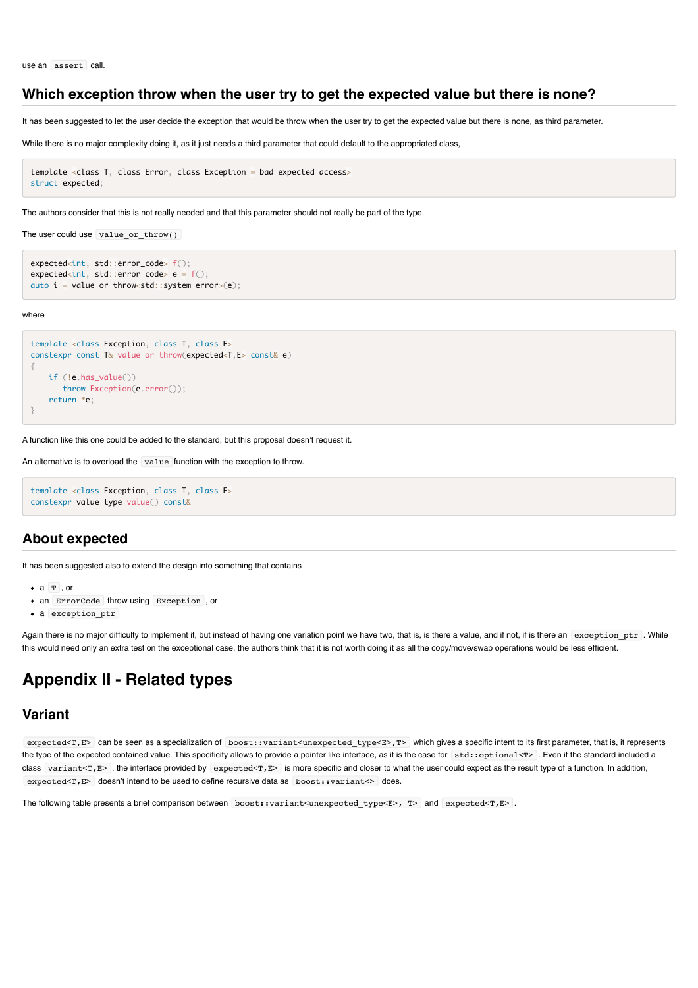### **Which exception throw when the user try to get the expected value but there is none?**

It has been suggested to let the user decide the exception that would be throw when the user try to get the expected value but there is none, as third parameter.

While there is no major complexity doing it, as it just needs a third parameter that could default to the appropriated class,

```
template <class T, class Error, class Exception = bad_expected_access>
struct expected;
```
The authors consider that this is not really needed and that this parameter should not really be part of the type.

```
The user could use value_or_throw()
```

```
expected<int, std::error_code> f();
expected<int, std::error_code> e = f();
auto i = value_or_throw<std::system_error>(e);
```
where

```
template <class Exception, class T, class E>
constexpr const T& value_or_throw(expected<T,E> const& e)
{
     if (!e.has_value())
        throw Exception(e.error());
     return *e;
}
```
A function like this one could be added to the standard, but this proposal doesn't request it.

An alternative is to overload the value function with the exception to throw.

```
template <class Exception, class T, class E>
constexpr value_type value() const&
```
### **About expected**

It has been suggested also to extend the design into something that contains

- $\bullet$   $A$  T or
- an ErrorCode throw using Exception , or
- a exception ptr

Again there is no major difficulty to implement it, but instead of having one variation point we have two, that is, is there a value, and if not, if is there an exception\_ptr . While this would need only an extra test on the exceptional case, the authors think that it is not worth doing it as all the copy/move/swap operations would be less efficient.

# **Appendix II - Related types**

### **Variant**

expected<T,E> can be seen as a specialization of boost::variant<unexpected\_type<E>,T> which gives a specific intent to its first parameter, that is, it represents the type of the expected contained value. This specificity allows to provide a pointer like interface, as it is the case for std::optional<T>. Even if the standard included a class variant<T,E>, the interface provided by expected<T,E> is more specific and closer to what the user could expect as the result type of a function. In addition, expected<T,E> doesn't intend to be used to define recursive data as boost::variant<> does.

The following table presents a brief comparison between boost::variant<unexpected\_type<E>, T> and expected<T,E>.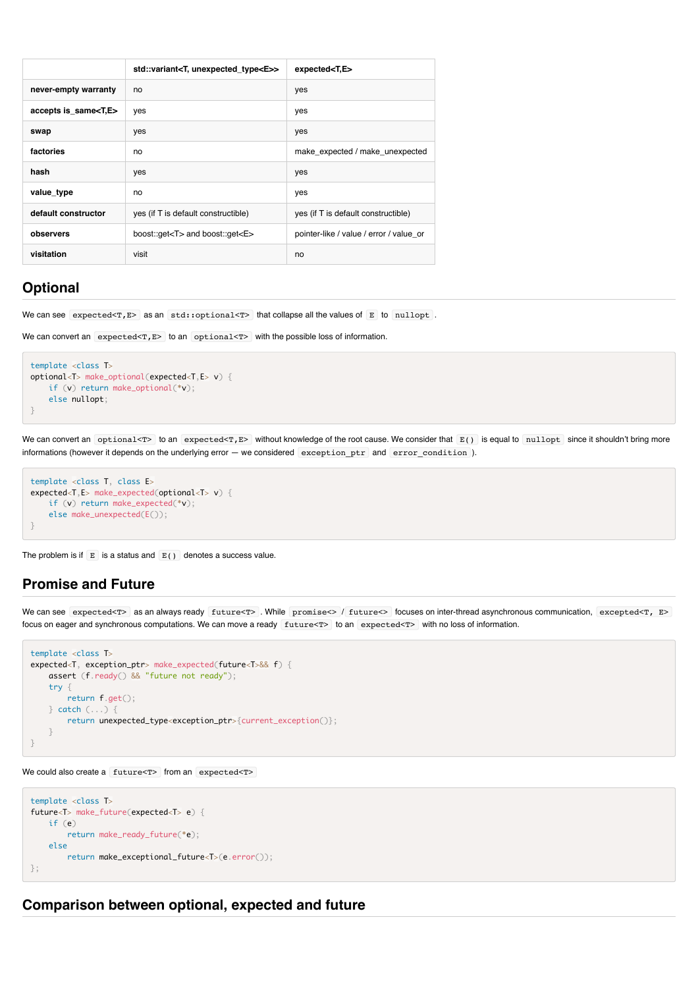|                             | std::variant <t, unexpected_type<e="">&gt;</t,> | expected < T, E                         |  |
|-----------------------------|-------------------------------------------------|-----------------------------------------|--|
| never-empty warranty        | no                                              | yes                                     |  |
| accepts is_same <t,e></t,e> | yes                                             | yes                                     |  |
| swap                        | yes                                             | yes                                     |  |
| factories                   | no                                              | make_expected / make_unexpected         |  |
| hash                        | yes<br>yes                                      |                                         |  |
| value type                  | no                                              | yes                                     |  |
| default constructor         | yes (if T is default constructible)             | yes (if T is default constructible)     |  |
| observers                   | boost::get <t> and boost::get<e></e></t>        | pointer-like / value / error / value or |  |
| visitation                  | visit                                           | no                                      |  |

# **Optional**

We can see  $\overline{expected}$   $\overline{rs}$  as an  $\overline{std::optional}$  that collapse all the values of  $\overline{E}$  to nullopt.

```
We can convert an expected < T, E to an optional<T with the possible loss of information.
```

```
template <class T>
optional<T> make_optional(expected<T,E> v) {
    if (v) return make_optional(*v);
    else nullopt;
}
```
We can convert an optional<T> to an expected<T,E> without knowledge of the root cause. We consider that E() is equal to nullopt since it shouldn't bring more informations (however it depends on the underlying error — we considered exception\_ptr and error\_condition ).

```
template <class T, class E>
expected<T,E> make_expected(optional<T> v) {
    if (v) return make_expected(*v);
    else make_unexpected(E());
}
```
The problem is if  $E$  is a status and  $E()$  denotes a success value.

### **Promise and Future**

We can see expected<T> as an always ready future<T> . While promise<> / future<> focuses on inter-thread asynchronous communication, excepted<T, E> focus on eager and synchronous computations. We can move a ready future<T> to an expected<T> with no loss of information.

```
template <class T>
expected<T, exception_ptr> make_expected(future<T>&& f) {
    assert (f.ready() && "future not ready");
    try {
        return f.get();
    } catch (...) {
        return unexpected_type<exception_ptr>{current_exception()};
    }
}
```

```
We could also create a future<T> from an expected<T>
```

```
template <class T>
future<T> make_future(expected<T> e) {
    if (e)
        return make_ready_future(*e);
    else
        return make_exceptional_future<T>(e.error());
};
```
### **Comparison between optional, expected and future**